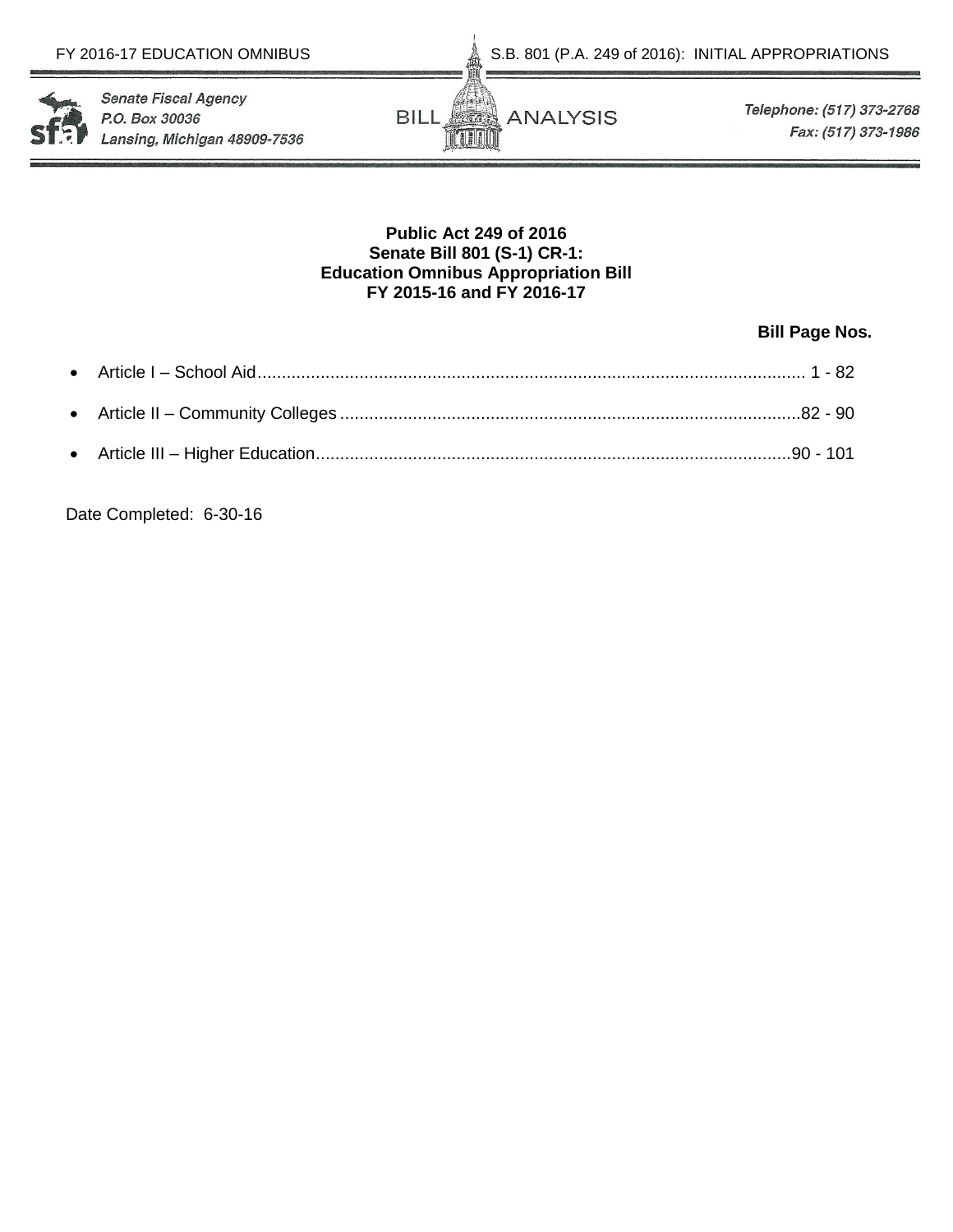S.B. 801 (P.A. 249 of 2016): INITIAL APPROPRIATIONS





Telephone: (517) 373-2768 Fax: (517) 373-1986

# **Public Act 249 of 2016 Senate Bill 801 (S-1) CR-1: Education Omnibus Appropriation Bill FY 2015-16 and FY 2016-17**

# **Bill Page Nos.**

Date Completed: 6-30-16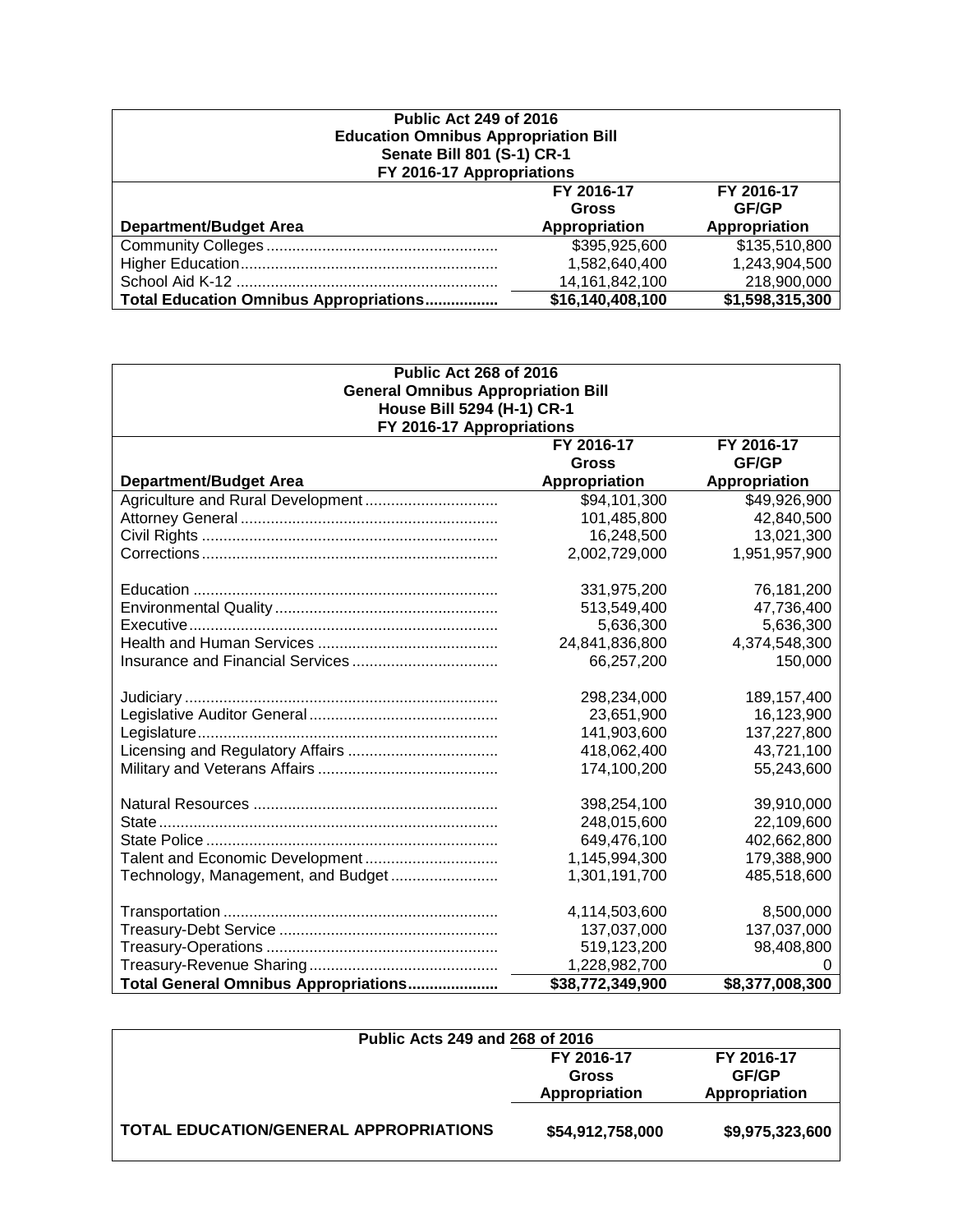| <b>Public Act 249 of 2016</b><br><b>Education Omnibus Appropriation Bill</b><br>Senate Bill 801 (S-1) CR-1<br>FY 2016-17 Appropriations |                  |                 |  |  |  |  |  |
|-----------------------------------------------------------------------------------------------------------------------------------------|------------------|-----------------|--|--|--|--|--|
| FY 2016-17<br>FY 2016-17<br><b>GF/GP</b><br>Gross                                                                                       |                  |                 |  |  |  |  |  |
| <b>Department/Budget Area</b>                                                                                                           | Appropriation    | Appropriation   |  |  |  |  |  |
|                                                                                                                                         | \$395,925,600    | \$135,510,800   |  |  |  |  |  |
|                                                                                                                                         | 1,582,640,400    | 1,243,904,500   |  |  |  |  |  |
| 14, 161, 842, 100<br>218,900,000                                                                                                        |                  |                 |  |  |  |  |  |
| <b>Total Education Omnibus Appropriations</b>                                                                                           | \$16,140,408,100 | \$1,598,315,300 |  |  |  |  |  |

| <b>Public Act 268 of 2016</b><br><b>General Omnibus Appropriation Bill</b> |                  |                 |  |  |  |  |  |  |  |  |
|----------------------------------------------------------------------------|------------------|-----------------|--|--|--|--|--|--|--|--|
| House Bill 5294 (H-1) CR-1                                                 |                  |                 |  |  |  |  |  |  |  |  |
| FY 2016-17 Appropriations                                                  |                  |                 |  |  |  |  |  |  |  |  |
|                                                                            | FY 2016-17       | FY 2016-17      |  |  |  |  |  |  |  |  |
| GF/GP<br><b>Gross</b>                                                      |                  |                 |  |  |  |  |  |  |  |  |
| <b>Department/Budget Area</b>                                              | Appropriation    | Appropriation   |  |  |  |  |  |  |  |  |
| Agriculture and Rural Development                                          | \$94,101,300     | \$49,926,900    |  |  |  |  |  |  |  |  |
|                                                                            | 101,485,800      | 42,840,500      |  |  |  |  |  |  |  |  |
|                                                                            | 16,248,500       | 13,021,300      |  |  |  |  |  |  |  |  |
|                                                                            | 2,002,729,000    | 1,951,957,900   |  |  |  |  |  |  |  |  |
|                                                                            | 331,975,200      | 76,181,200      |  |  |  |  |  |  |  |  |
|                                                                            | 513,549,400      | 47,736,400      |  |  |  |  |  |  |  |  |
|                                                                            | 5,636,300        | 5,636,300       |  |  |  |  |  |  |  |  |
|                                                                            | 24,841,836,800   | 4,374,548,300   |  |  |  |  |  |  |  |  |
|                                                                            | 66,257,200       | 150,000         |  |  |  |  |  |  |  |  |
|                                                                            | 298,234,000      | 189, 157, 400   |  |  |  |  |  |  |  |  |
|                                                                            | 23,651,900       | 16,123,900      |  |  |  |  |  |  |  |  |
|                                                                            | 141,903,600      | 137,227,800     |  |  |  |  |  |  |  |  |
|                                                                            | 418,062,400      | 43,721,100      |  |  |  |  |  |  |  |  |
|                                                                            | 174,100,200      | 55,243,600      |  |  |  |  |  |  |  |  |
|                                                                            | 398,254,100      | 39,910,000      |  |  |  |  |  |  |  |  |
|                                                                            | 248,015,600      | 22,109,600      |  |  |  |  |  |  |  |  |
|                                                                            | 649,476,100      | 402,662,800     |  |  |  |  |  |  |  |  |
| Talent and Economic Development                                            | 1,145,994,300    | 179,388,900     |  |  |  |  |  |  |  |  |
| Technology, Management, and Budget                                         | 1,301,191,700    | 485,518,600     |  |  |  |  |  |  |  |  |
|                                                                            | 4,114,503,600    | 8,500,000       |  |  |  |  |  |  |  |  |
|                                                                            | 137,037,000      | 137,037,000     |  |  |  |  |  |  |  |  |
|                                                                            | 519,123,200      | 98,408,800      |  |  |  |  |  |  |  |  |
|                                                                            | 1,228,982,700    |                 |  |  |  |  |  |  |  |  |
| Total General Omnibus Appropriations                                       | \$38,772,349,900 | \$8,377,008,300 |  |  |  |  |  |  |  |  |

| Public Acts 249 and 268 of 2016               |                  |                 |  |  |  |  |  |
|-----------------------------------------------|------------------|-----------------|--|--|--|--|--|
|                                               | FY 2016-17       | FY 2016-17      |  |  |  |  |  |
|                                               | Gross            | <b>GF/GP</b>    |  |  |  |  |  |
|                                               | Appropriation    | Appropriation   |  |  |  |  |  |
| <b>TOTAL EDUCATION/GENERAL APPROPRIATIONS</b> | \$54,912,758,000 | \$9,975,323,600 |  |  |  |  |  |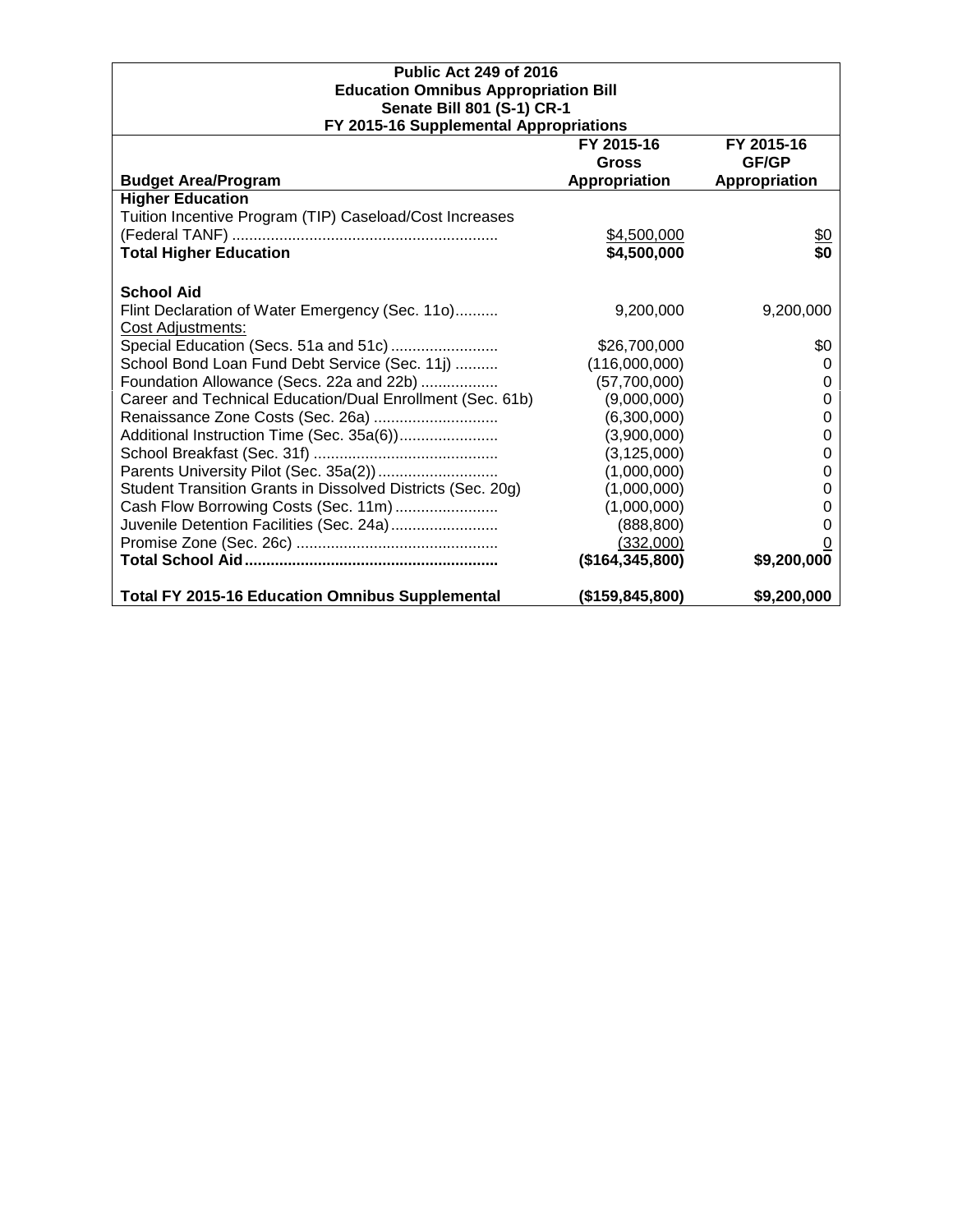# **Public Act 249 of 2016 Education Omnibus Appropriation Bill Senate Bill 801 (S-1) CR-1 FY 2015-16 Supplemental Appropriations**

| <b>FI ZUIS-10 Supplemental Appropriations</b>               |                   |               |
|-------------------------------------------------------------|-------------------|---------------|
|                                                             | FY 2015-16        | FY 2015-16    |
|                                                             | <b>Gross</b>      | GF/GP         |
| <b>Budget Area/Program</b>                                  | Appropriation     | Appropriation |
| <b>Higher Education</b>                                     |                   |               |
| Tuition Incentive Program (TIP) Caseload/Cost Increases     |                   |               |
|                                                             | \$4,500,000       | <u>\$0</u>    |
| <b>Total Higher Education</b>                               | \$4,500,000       | \$0           |
| <b>School Aid</b>                                           |                   |               |
| Flint Declaration of Water Emergency (Sec. 110)             | 9,200,000         | 9,200,000     |
| Cost Adjustments:                                           |                   |               |
| Special Education (Secs. 51a and 51c)                       | \$26,700,000      | \$0           |
| School Bond Loan Fund Debt Service (Sec. 11j)               | (116,000,000)     | 0             |
| Foundation Allowance (Secs. 22a and 22b)                    | (57,700,000)      | 0             |
| Career and Technical Education/Dual Enrollment (Sec. 61b)   | (9,000,000)       | 0             |
|                                                             | (6,300,000)       | 0             |
| Additional Instruction Time (Sec. 35a(6))                   | (3,900,000)       | O             |
|                                                             | (3, 125, 000)     | 0             |
|                                                             | (1,000,000)       | 0             |
| Student Transition Grants in Dissolved Districts (Sec. 20g) | (1,000,000)       | O             |
| Cash Flow Borrowing Costs (Sec. 11m)                        | (1,000,000)       | O             |
| Juvenile Detention Facilities (Sec. 24a)                    | (888, 800)        |               |
|                                                             | (332,000)         |               |
|                                                             | (\$164, 345, 800) | \$9,200,000   |
| <b>Total FY 2015-16 Education Omnibus Supplemental</b>      | (\$159, 845, 800) | \$9,200,000   |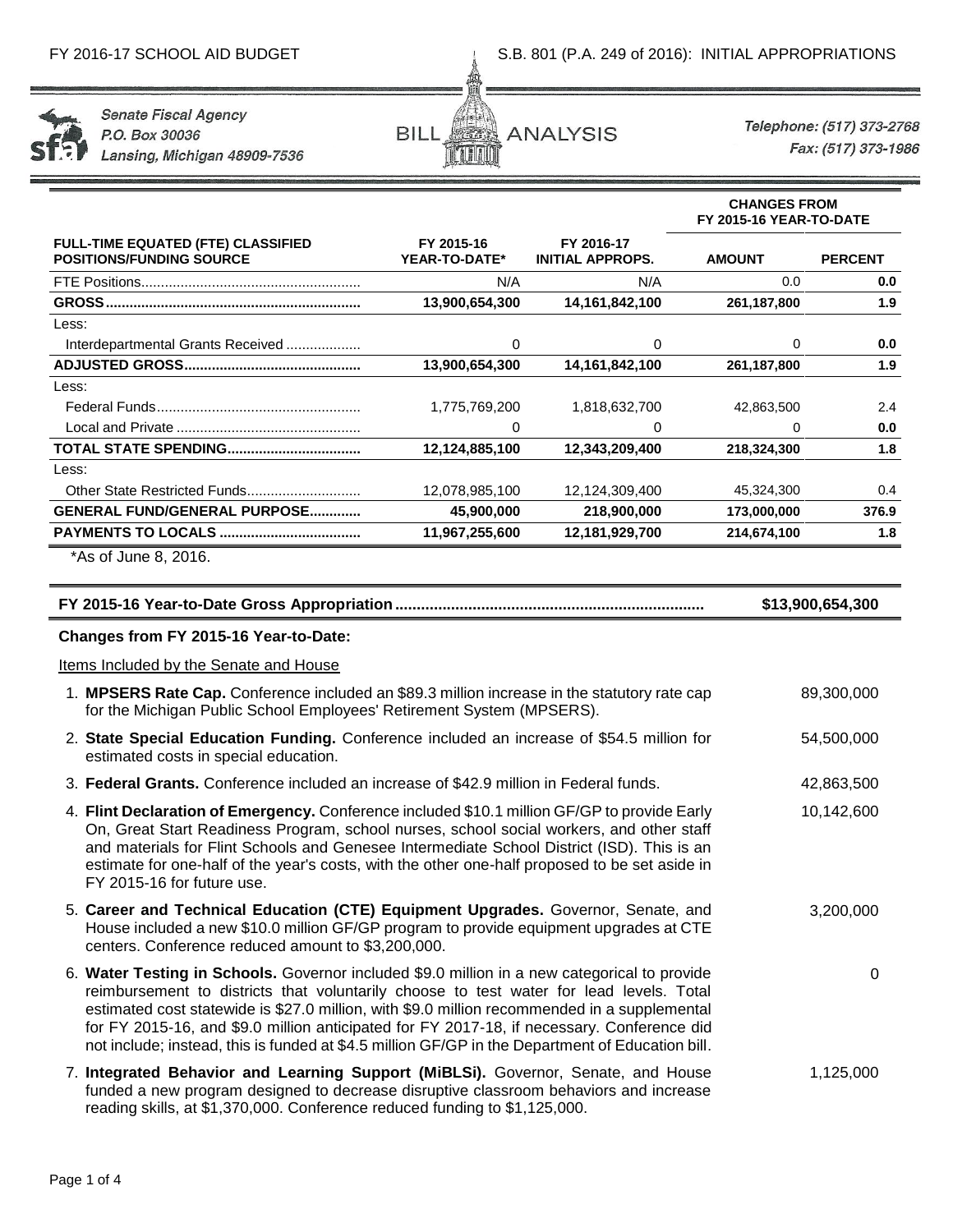

**Senate Fiscal Agency** P.O. Box 30036 Lansing, Michigan 48909-7536



Telephone: (517) 373-2768 Fax: (517) 373-1986

0

**CHANGES FROM**

|                                                                                                                                                                                                                                                                                                                                                                                          |                             |                                       |               | FY 2015-16 YEAR-TO-DATE |  |  |
|------------------------------------------------------------------------------------------------------------------------------------------------------------------------------------------------------------------------------------------------------------------------------------------------------------------------------------------------------------------------------------------|-----------------------------|---------------------------------------|---------------|-------------------------|--|--|
| <b>FULL-TIME EQUATED (FTE) CLASSIFIED</b><br><b>POSITIONS/FUNDING SOURCE</b>                                                                                                                                                                                                                                                                                                             | FY 2015-16<br>YEAR-TO-DATE* | FY 2016-17<br><b>INITIAL APPROPS.</b> | <b>AMOUNT</b> | <b>PERCENT</b>          |  |  |
|                                                                                                                                                                                                                                                                                                                                                                                          | N/A                         | N/A                                   | 0.0           | 0.0                     |  |  |
|                                                                                                                                                                                                                                                                                                                                                                                          | 13,900,654,300              | 14, 161, 842, 100                     | 261,187,800   | 1.9                     |  |  |
| Less:                                                                                                                                                                                                                                                                                                                                                                                    |                             |                                       |               |                         |  |  |
| Interdepartmental Grants Received                                                                                                                                                                                                                                                                                                                                                        | 0                           | 0                                     | $\Omega$      | 0.0                     |  |  |
|                                                                                                                                                                                                                                                                                                                                                                                          | 13,900,654,300              | 14, 161, 842, 100                     | 261,187,800   | 1.9                     |  |  |
| Less:                                                                                                                                                                                                                                                                                                                                                                                    |                             |                                       |               |                         |  |  |
|                                                                                                                                                                                                                                                                                                                                                                                          | 1,775,769,200               | 1,818,632,700                         | 42,863,500    | 2.4                     |  |  |
|                                                                                                                                                                                                                                                                                                                                                                                          | 0                           | 0                                     | 0             | 0.0                     |  |  |
| <b>TOTAL STATE SPENDING</b>                                                                                                                                                                                                                                                                                                                                                              | 12,124,885,100              | 12,343,209,400                        | 218,324,300   | 1.8                     |  |  |
| Less:                                                                                                                                                                                                                                                                                                                                                                                    |                             |                                       |               |                         |  |  |
|                                                                                                                                                                                                                                                                                                                                                                                          | 12,078,985,100              | 12,124,309,400                        | 45,324,300    | 0.4                     |  |  |
| GENERAL FUND/GENERAL PURPOSE                                                                                                                                                                                                                                                                                                                                                             | 45,900,000                  | 218,900,000                           | 173,000,000   | 376.9                   |  |  |
|                                                                                                                                                                                                                                                                                                                                                                                          | 11,967,255,600              | 12,181,929,700                        | 214,674,100   | 1.8                     |  |  |
| *As of June 8, 2016.                                                                                                                                                                                                                                                                                                                                                                     |                             |                                       |               |                         |  |  |
|                                                                                                                                                                                                                                                                                                                                                                                          |                             |                                       |               | \$13,900,654,300        |  |  |
| Changes from FY 2015-16 Year-to-Date:                                                                                                                                                                                                                                                                                                                                                    |                             |                                       |               |                         |  |  |
| Items Included by the Senate and House                                                                                                                                                                                                                                                                                                                                                   |                             |                                       |               |                         |  |  |
| 1. MPSERS Rate Cap. Conference included an \$89.3 million increase in the statutory rate cap<br>for the Michigan Public School Employees' Retirement System (MPSERS).                                                                                                                                                                                                                    |                             |                                       |               | 89,300,000              |  |  |
| 2. State Special Education Funding. Conference included an increase of \$54.5 million for<br>estimated costs in special education.                                                                                                                                                                                                                                                       |                             |                                       |               | 54,500,000              |  |  |
| 3. Federal Grants. Conference included an increase of \$42.9 million in Federal funds.                                                                                                                                                                                                                                                                                                   |                             |                                       |               | 42,863,500              |  |  |
| 4. Flint Declaration of Emergency. Conference included \$10.1 million GF/GP to provide Early<br>On, Great Start Readiness Program, school nurses, school social workers, and other staff<br>and materials for Flint Schools and Genesee Intermediate School District (ISD). This is an<br>estimate for one-half of the year's costs, with the other one-half proposed to be set aside in |                             |                                       |               | 10,142,600              |  |  |

- 5. **Career and Technical Education (CTE) Equipment Upgrades.** Governor, Senate, and House included a new \$10.0 million GF/GP program to provide equipment upgrades at CTE centers. Conference reduced amount to \$3,200,000. 3,200,000
- 6. **Water Testing in Schools.** Governor included \$9.0 million in a new categorical to provide reimbursement to districts that voluntarily choose to test water for lead levels. Total estimated cost statewide is \$27.0 million, with \$9.0 million recommended in a supplemental for FY 2015-16, and \$9.0 million anticipated for FY 2017-18, if necessary. Conference did not include; instead, this is funded at \$4.5 million GF/GP in the Department of Education bill.
- 7. **Integrated Behavior and Learning Support (MiBLSi).** Governor, Senate, and House funded a new program designed to decrease disruptive classroom behaviors and increase reading skills, at \$1,370,000. Conference reduced funding to \$1,125,000. 1,125,000

FY 2015-16 for future use.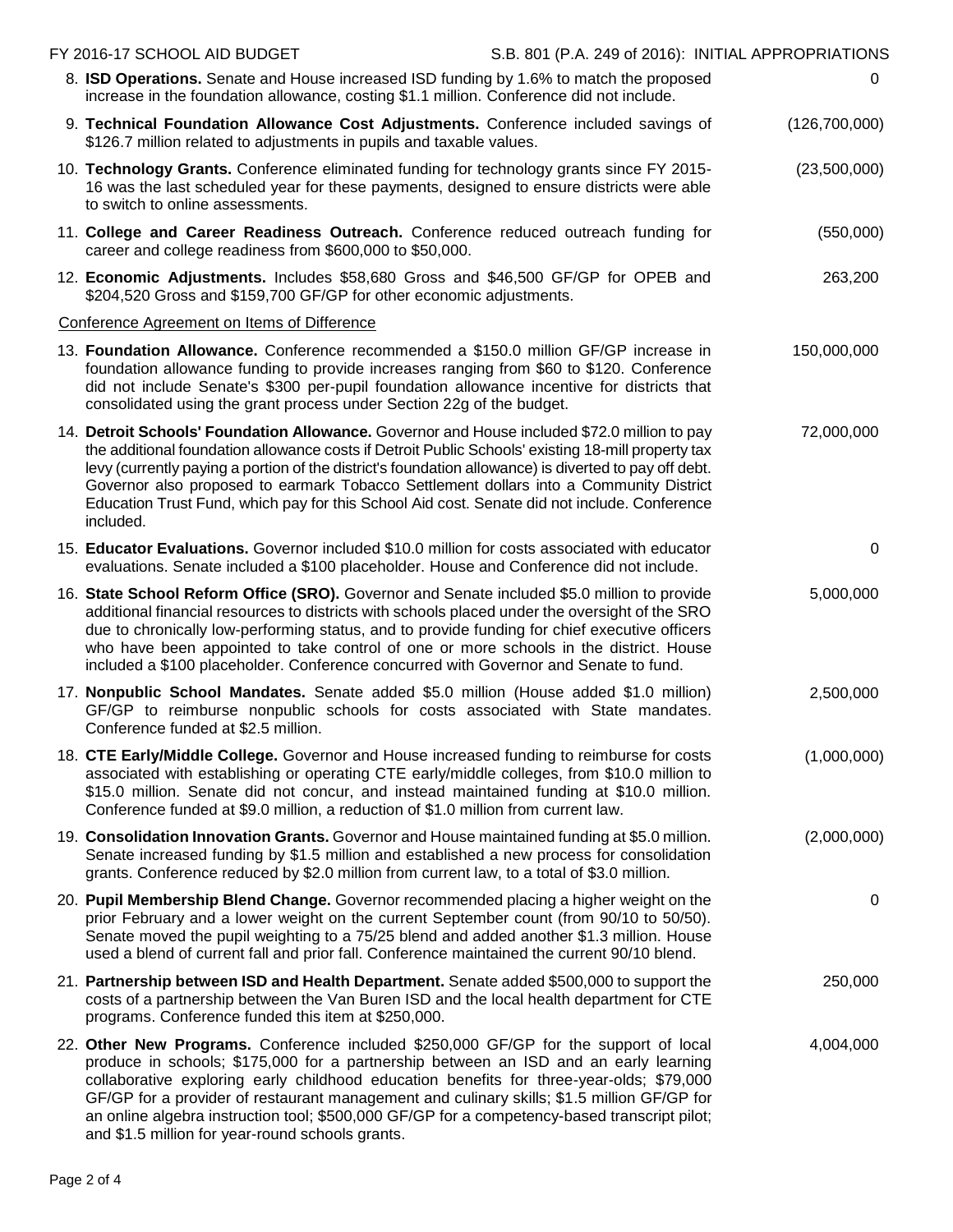| FY 2016-17 SCHOOL AID BUDGET                                                                                                                                                                                                                                                                                                                                                                                                                                                                                               | S.B. 801 (P.A. 249 of 2016): INITIAL APPROPRIATIONS |               |
|----------------------------------------------------------------------------------------------------------------------------------------------------------------------------------------------------------------------------------------------------------------------------------------------------------------------------------------------------------------------------------------------------------------------------------------------------------------------------------------------------------------------------|-----------------------------------------------------|---------------|
| 8. ISD Operations. Senate and House increased ISD funding by 1.6% to match the proposed<br>increase in the foundation allowance, costing \$1.1 million. Conference did not include.                                                                                                                                                                                                                                                                                                                                        |                                                     | 0             |
| 9. Technical Foundation Allowance Cost Adjustments. Conference included savings of<br>\$126.7 million related to adjustments in pupils and taxable values.                                                                                                                                                                                                                                                                                                                                                                 |                                                     | (126,700,000) |
| 10. Technology Grants. Conference eliminated funding for technology grants since FY 2015-<br>16 was the last scheduled year for these payments, designed to ensure districts were able<br>to switch to online assessments.                                                                                                                                                                                                                                                                                                 |                                                     | (23,500,000)  |
| 11. College and Career Readiness Outreach. Conference reduced outreach funding for<br>career and college readiness from \$600,000 to \$50,000.                                                                                                                                                                                                                                                                                                                                                                             |                                                     | (550,000)     |
| 12. Economic Adjustments. Includes \$58,680 Gross and \$46,500 GF/GP for OPEB and<br>\$204,520 Gross and \$159,700 GF/GP for other economic adjustments.                                                                                                                                                                                                                                                                                                                                                                   |                                                     | 263,200       |
| Conference Agreement on Items of Difference                                                                                                                                                                                                                                                                                                                                                                                                                                                                                |                                                     |               |
| 13. Foundation Allowance. Conference recommended a \$150.0 million GF/GP increase in<br>foundation allowance funding to provide increases ranging from \$60 to \$120. Conference<br>did not include Senate's \$300 per-pupil foundation allowance incentive for districts that<br>consolidated using the grant process under Section 22g of the budget.                                                                                                                                                                    |                                                     | 150,000,000   |
| 14. Detroit Schools' Foundation Allowance. Governor and House included \$72.0 million to pay<br>the additional foundation allowance costs if Detroit Public Schools' existing 18-mill property tax<br>levy (currently paying a portion of the district's foundation allowance) is diverted to pay off debt.<br>Governor also proposed to earmark Tobacco Settlement dollars into a Community District<br>Education Trust Fund, which pay for this School Aid cost. Senate did not include. Conference<br>included.         |                                                     | 72,000,000    |
| 15. Educator Evaluations. Governor included \$10.0 million for costs associated with educator<br>evaluations. Senate included a \$100 placeholder. House and Conference did not include.                                                                                                                                                                                                                                                                                                                                   |                                                     | 0             |
| 16. State School Reform Office (SRO). Governor and Senate included \$5.0 million to provide<br>additional financial resources to districts with schools placed under the oversight of the SRO<br>due to chronically low-performing status, and to provide funding for chief executive officers<br>who have been appointed to take control of one or more schools in the district. House<br>included a \$100 placeholder. Conference concurred with Governor and Senate to fund.                                            |                                                     | 5,000,000     |
| 17. Nonpublic School Mandates. Senate added \$5.0 million (House added \$1.0 million)<br>GF/GP to reimburse nonpublic schools for costs associated with State mandates.<br>Conference funded at \$2.5 million.                                                                                                                                                                                                                                                                                                             |                                                     | 2,500,000     |
| 18. CTE Early/Middle College. Governor and House increased funding to reimburse for costs<br>associated with establishing or operating CTE early/middle colleges, from \$10.0 million to<br>\$15.0 million. Senate did not concur, and instead maintained funding at \$10.0 million.<br>Conference funded at \$9.0 million, a reduction of \$1.0 million from current law.                                                                                                                                                 |                                                     | (1,000,000)   |
| 19. Consolidation Innovation Grants. Governor and House maintained funding at \$5.0 million.<br>Senate increased funding by \$1.5 million and established a new process for consolidation<br>grants. Conference reduced by \$2.0 million from current law, to a total of \$3.0 million.                                                                                                                                                                                                                                    |                                                     | (2,000,000)   |
| 20. Pupil Membership Blend Change. Governor recommended placing a higher weight on the<br>prior February and a lower weight on the current September count (from 90/10 to 50/50).<br>Senate moved the pupil weighting to a 75/25 blend and added another \$1.3 million. House<br>used a blend of current fall and prior fall. Conference maintained the current 90/10 blend.                                                                                                                                               |                                                     | 0             |
| 21. Partnership between ISD and Health Department. Senate added \$500,000 to support the<br>costs of a partnership between the Van Buren ISD and the local health department for CTE<br>programs. Conference funded this item at \$250,000.                                                                                                                                                                                                                                                                                |                                                     | 250,000       |
| 22. Other New Programs. Conference included \$250,000 GF/GP for the support of local<br>produce in schools; \$175,000 for a partnership between an ISD and an early learning<br>collaborative exploring early childhood education benefits for three-year-olds; \$79,000<br>GF/GP for a provider of restaurant management and culinary skills; \$1.5 million GF/GP for<br>an online algebra instruction tool; \$500,000 GF/GP for a competency-based transcript pilot;<br>and \$1.5 million for year-round schools grants. |                                                     | 4,004,000     |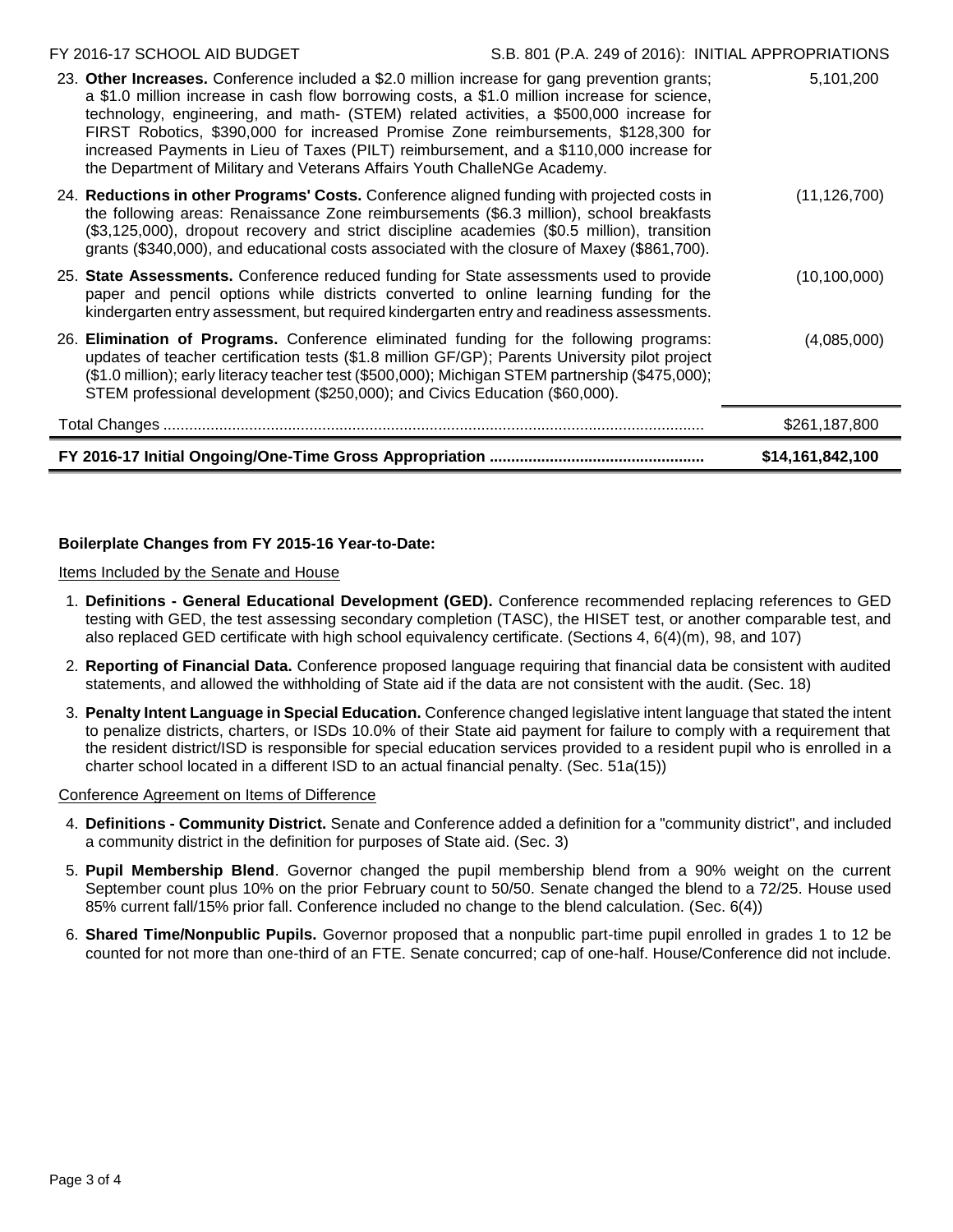# **Boilerplate Changes from FY 2015-16 Year-to-Date:**

Items Included by the Senate and House

- 1. **Definitions - General Educational Development (GED).** Conference recommended replacing references to GED testing with GED, the test assessing secondary completion (TASC), the HISET test, or another comparable test, and also replaced GED certificate with high school equivalency certificate. (Sections 4, 6(4)(m), 98, and 107)
- 2. **Reporting of Financial Data.** Conference proposed language requiring that financial data be consistent with audited statements, and allowed the withholding of State aid if the data are not consistent with the audit. (Sec. 18)
- 3. **Penalty Intent Language in Special Education.** Conference changed legislative intent language that stated the intent to penalize districts, charters, or ISDs 10.0% of their State aid payment for failure to comply with a requirement that the resident district/ISD is responsible for special education services provided to a resident pupil who is enrolled in a charter school located in a different ISD to an actual financial penalty. (Sec. 51a(15))

# Conference Agreement on Items of Difference

- 4. **Definitions - Community District.** Senate and Conference added a definition for a "community district", and included a community district in the definition for purposes of State aid. (Sec. 3)
- 5. **Pupil Membership Blend**. Governor changed the pupil membership blend from a 90% weight on the current September count plus 10% on the prior February count to 50/50. Senate changed the blend to a 72/25. House used 85% current fall/15% prior fall. Conference included no change to the blend calculation. (Sec. 6(4))
- 6. **Shared Time/Nonpublic Pupils.** Governor proposed that a nonpublic part-time pupil enrolled in grades 1 to 12 be counted for not more than one-third of an FTE. Senate concurred; cap of one-half. House/Conference did not include.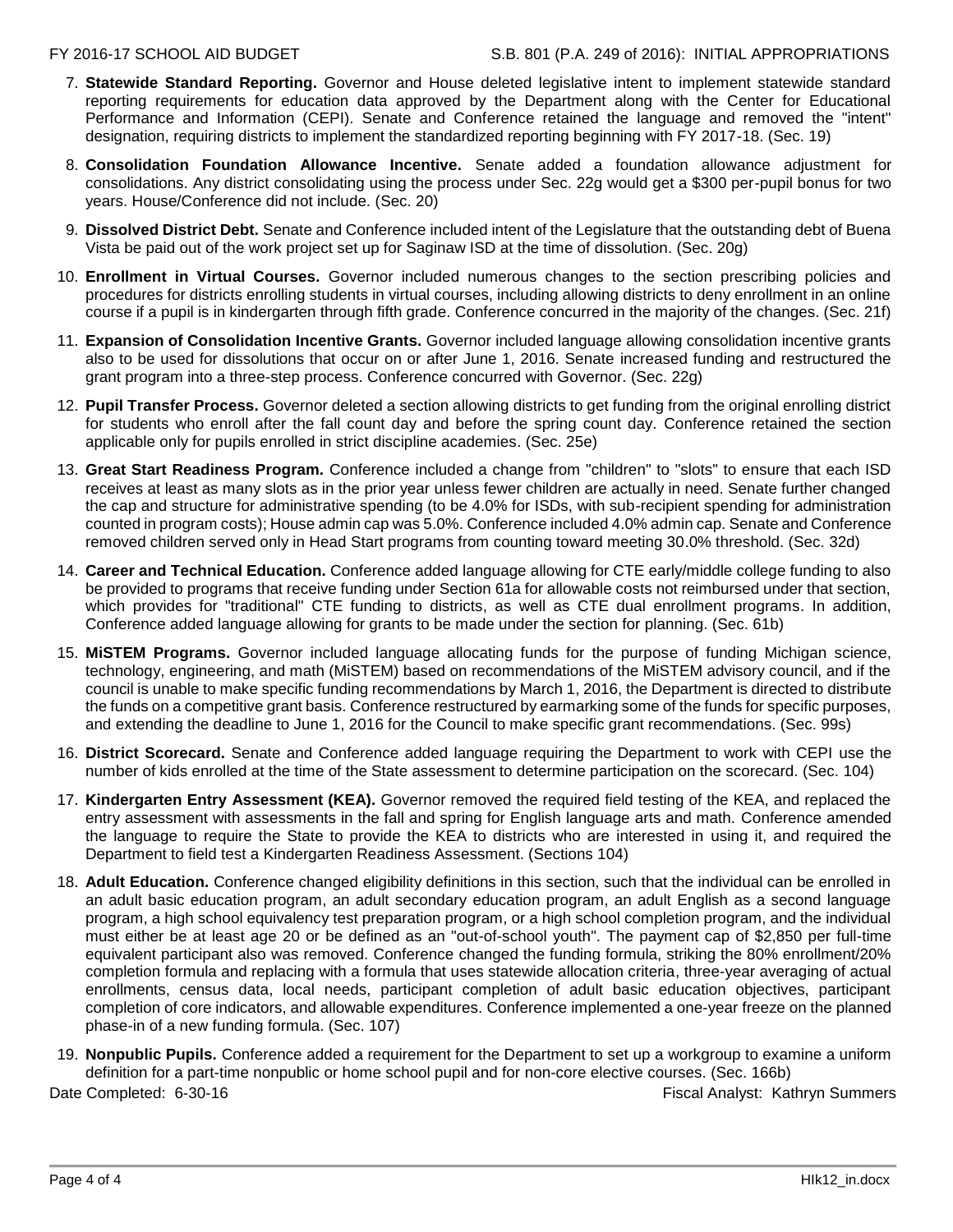- 7. **Statewide Standard Reporting.** Governor and House deleted legislative intent to implement statewide standard reporting requirements for education data approved by the Department along with the Center for Educational Performance and Information (CEPI). Senate and Conference retained the language and removed the "intent" designation, requiring districts to implement the standardized reporting beginning with FY 2017-18. (Sec. 19)
- 8. **Consolidation Foundation Allowance Incentive.** Senate added a foundation allowance adjustment for consolidations. Any district consolidating using the process under Sec. 22g would get a \$300 per-pupil bonus for two years. House/Conference did not include. (Sec. 20)
- 9. **Dissolved District Debt.** Senate and Conference included intent of the Legislature that the outstanding debt of Buena Vista be paid out of the work project set up for Saginaw ISD at the time of dissolution. (Sec. 20g)
- 10. **Enrollment in Virtual Courses.** Governor included numerous changes to the section prescribing policies and procedures for districts enrolling students in virtual courses, including allowing districts to deny enrollment in an online course if a pupil is in kindergarten through fifth grade. Conference concurred in the majority of the changes. (Sec. 21f)
- 11. **Expansion of Consolidation Incentive Grants.** Governor included language allowing consolidation incentive grants also to be used for dissolutions that occur on or after June 1, 2016. Senate increased funding and restructured the grant program into a three-step process. Conference concurred with Governor. (Sec. 22g)
- 12. **Pupil Transfer Process.** Governor deleted a section allowing districts to get funding from the original enrolling district for students who enroll after the fall count day and before the spring count day. Conference retained the section applicable only for pupils enrolled in strict discipline academies. (Sec. 25e)
- 13. **Great Start Readiness Program.** Conference included a change from "children" to "slots" to ensure that each ISD receives at least as many slots as in the prior year unless fewer children are actually in need. Senate further changed the cap and structure for administrative spending (to be 4.0% for ISDs, with sub-recipient spending for administration counted in program costs); House admin cap was 5.0%. Conference included 4.0% admin cap. Senate and Conference removed children served only in Head Start programs from counting toward meeting 30.0% threshold. (Sec. 32d)
- 14. **Career and Technical Education.** Conference added language allowing for CTE early/middle college funding to also be provided to programs that receive funding under Section 61a for allowable costs not reimbursed under that section, which provides for "traditional" CTE funding to districts, as well as CTE dual enrollment programs. In addition, Conference added language allowing for grants to be made under the section for planning. (Sec. 61b)
- 15. **MiSTEM Programs.** Governor included language allocating funds for the purpose of funding Michigan science, technology, engineering, and math (MiSTEM) based on recommendations of the MiSTEM advisory council, and if the council is unable to make specific funding recommendations by March 1, 2016, the Department is directed to distribute the funds on a competitive grant basis. Conference restructured by earmarking some of the funds for specific purposes, and extending the deadline to June 1, 2016 for the Council to make specific grant recommendations. (Sec. 99s)
- 16. **District Scorecard.** Senate and Conference added language requiring the Department to work with CEPI use the number of kids enrolled at the time of the State assessment to determine participation on the scorecard. (Sec. 104)
- 17. **Kindergarten Entry Assessment (KEA).** Governor removed the required field testing of the KEA, and replaced the entry assessment with assessments in the fall and spring for English language arts and math. Conference amended the language to require the State to provide the KEA to districts who are interested in using it, and required the Department to field test a Kindergarten Readiness Assessment. (Sections 104)
- 18. **Adult Education.** Conference changed eligibility definitions in this section, such that the individual can be enrolled in an adult basic education program, an adult secondary education program, an adult English as a second language program, a high school equivalency test preparation program, or a high school completion program, and the individual must either be at least age 20 or be defined as an "out-of-school youth". The payment cap of \$2,850 per full-time equivalent participant also was removed. Conference changed the funding formula, striking the 80% enrollment/20% completion formula and replacing with a formula that uses statewide allocation criteria, three-year averaging of actual enrollments, census data, local needs, participant completion of adult basic education objectives, participant completion of core indicators, and allowable expenditures. Conference implemented a one-year freeze on the planned phase-in of a new funding formula. (Sec. 107)
- 19. **Nonpublic Pupils.** Conference added a requirement for the Department to set up a workgroup to examine a uniform definition for a part-time nonpublic or home school pupil and for non-core elective courses. (Sec. 166b)

Date Completed: 6-30-16 **Fiscal Analyst: Kathryn Summers**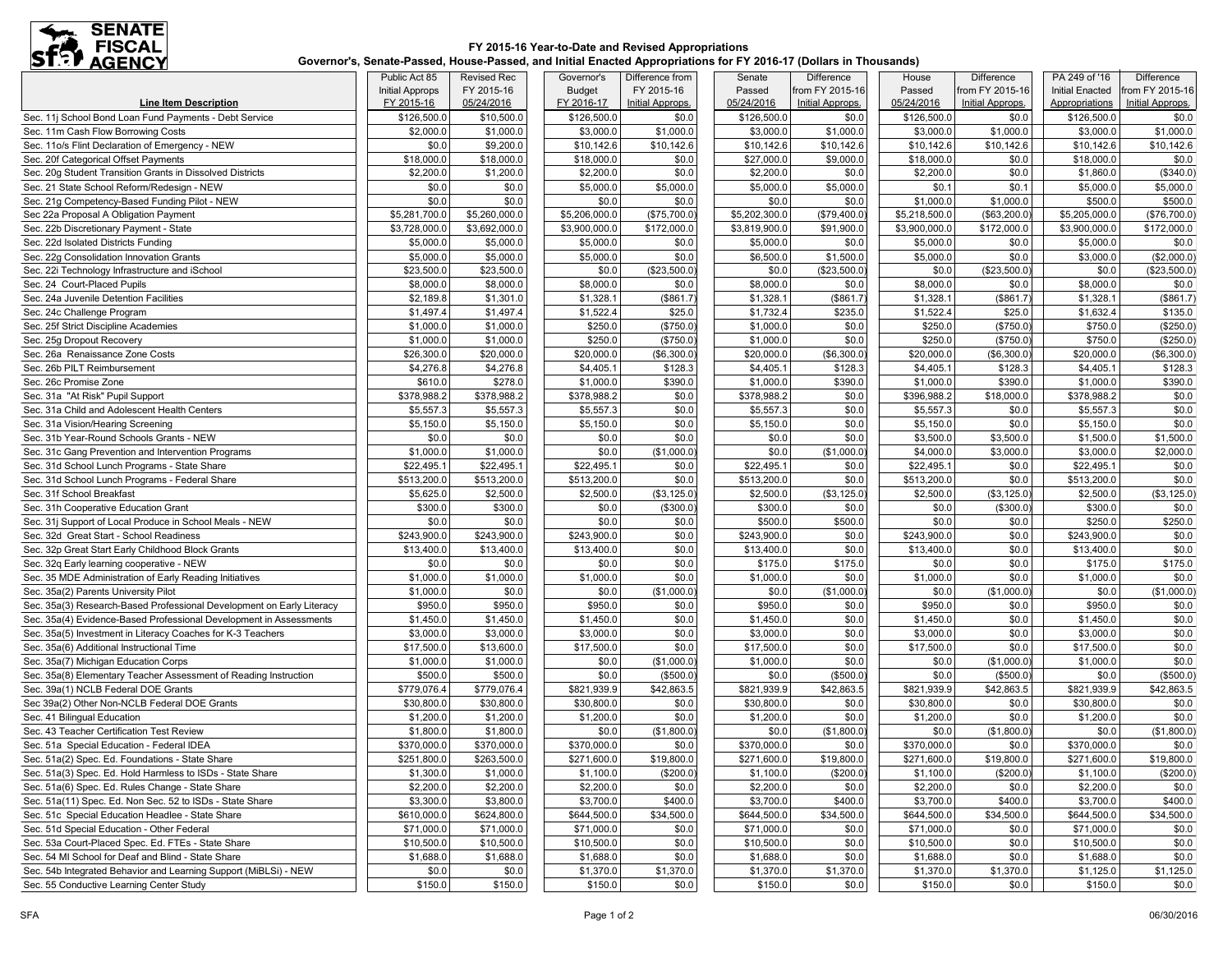

### **FY 2015-16 Year-to-Date and Revised Appropriations Governor's, Senate-Passed, House-Passed, and Initial Enacted Appropriations for FY 2016-17 (Dollars in Thousands)**

|                                                                       | Public Act 85          | <b>Revised Rec</b>      | Governor's     | Difference from  | Senate             | Difference              | House         | Difference              | PA 249 of '16          | Difference       |
|-----------------------------------------------------------------------|------------------------|-------------------------|----------------|------------------|--------------------|-------------------------|---------------|-------------------------|------------------------|------------------|
|                                                                       | <b>Initial Approps</b> | FY 2015-16              | <b>Budget</b>  | FY 2015-16       | Passed             | from FY 2015-16         | Passed        | from FY 2015-16         | <b>Initial Enacted</b> | from FY 2015-16  |
| <b>Line Item Description</b>                                          | FY 2015-16             | 05/24/2016              | FY 2016-17     | Initial Approps. | 05/24/2016         | <b>Initial Approps.</b> | 05/24/2016    | <b>Initial Approps.</b> | Appropriations         | Initial Approps. |
| Sec. 11j School Bond Loan Fund Payments - Debt Service                | \$126,500.0            | \$10,500.0              | \$126,500.0    | \$0.0            | \$126,500.0        | \$0.0                   | \$126,500.0   | \$0.0                   | \$126,500.0            | \$0.0            |
| Sec. 11m Cash Flow Borrowing Costs                                    | \$2,000.0              | \$1,000.0               | \$3,000.0      | \$1,000.0        | \$3,000.0          | \$1,000.0               | \$3,000.0     | \$1,000.0               | \$3,000.0              | \$1,000.0        |
| Sec. 11o/s Flint Declaration of Emergency - NEW                       | \$0.0                  | \$9,200.0               | \$10,142.6     | \$10,142.6       | \$10,142.6         | \$10,142.6              | \$10,142.6    | \$10,142.6              | \$10,142.6             | \$10,142.6       |
| Sec. 20f Categorical Offset Payments                                  | \$18,000.0             | \$18,000.0              | \$18,000.0     | \$0.0            | \$27,000.0         | \$9,000.0               | \$18,000.0    | \$0.0                   | \$18,000.0             | \$0.0            |
| Sec. 20q Student Transition Grants in Dissolved Districts             | \$2,200.0              | \$1,200.0               | \$2,200.0      | \$0.0            | \$2,200.0          | \$0.0                   | \$2,200.0     | \$0.0                   | \$1,860.0              | (\$340.0)        |
| Sec. 21 State School Reform/Redesign - NEW                            | \$0.0                  | \$0.0                   | \$5,000.0      | \$5,000.0        | \$5,000.0          | \$5,000.0               | \$0.1         | \$0.1                   | \$5,000.0              | \$5,000.0        |
| Sec. 21g Competency-Based Funding Pilot - NEW                         | \$0.0                  | \$0.0                   | \$0.0          | \$0.0            | \$0.0              | \$0.0                   | \$1,000.0     | \$1,000.0               | \$500.0                | \$500.0          |
| Sec 22a Proposal A Obligation Payment                                 | \$5,281,700.0          | \$5,260,000.0           | \$5,206,000.0  | (\$75,700.0)     | \$5,202,300.0      | (\$79,400.0             | \$5,218,500.0 | (\$63,200.0             | \$5,205,000.0          | (\$76,700.0)     |
| Sec. 22b Discretionary Payment - State                                | \$3,728,000.0          | \$3,692,000.0           | \$3,900,000.0  | \$172,000.0      | \$3,819,900.0      | \$91,900.0              | \$3,900,000.0 | \$172,000.0             | \$3,900,000.0          | \$172,000.0      |
| Sec. 22d Isolated Districts Funding                                   | \$5,000.0              | \$5,000.0               | \$5,000.0      | \$0.0            | \$5,000.0          | \$0.0                   | \$5,000.0     | \$0.0                   | \$5,000.0              | \$0.0            |
| Sec. 22g Consolidation Innovation Grants                              | \$5,000.0              | \$5,000.0               | \$5,000.0      | \$0.0            | \$6,500.0          | \$1,500.0               | \$5,000.0     | \$0.0                   | \$3,000.0              | (\$2,000.0)      |
| Sec. 22i Technology Infrastructure and iSchool                        | \$23,500.0             | \$23,500.0              | \$0.0          | (\$23,500.0)     | \$0.0              | (\$23,500.0             | \$0.0         | (\$23,500.0             | \$0.0                  | (\$23,500.0)     |
| Sec. 24 Court-Placed Pupils                                           | \$8,000.0              | \$8,000.0               | \$8,000.0      | \$0.0            | \$8,000.0          | \$0.0                   | \$8,000.0     | \$0.0                   | \$8,000.0              | \$0.0            |
| Sec. 24a Juvenile Detention Facilities                                | \$2,189.8              | \$1,301.0               | \$1,328.1      | \$861.7          | \$1,328.1          | (\$861.7                | \$1,328.1     | (\$861.7)               | \$1,328.1              | (\$861.7)        |
| Sec. 24c Challenge Program                                            | \$1,497.4              | \$1,497.4               | \$1,522.4      | \$25.0           | \$1,732.4          | \$235.0                 | \$1,522.4     | \$25.0                  | \$1,632.4              | \$135.0          |
| Sec. 25f Strict Discipline Academies                                  | \$1,000.0              | \$1,000.0               | \$250.0        | (\$750.0)        | \$1,000.0          | \$0.0                   | \$250.0       | (\$750.0                | \$750.0                | (\$250.0)        |
| Sec. 25g Dropout Recovery                                             | \$1,000.0              | \$1,000.0               | \$250.0        | (\$750.0)        | \$1,000.0          | \$0.0                   | \$250.0       | (\$750.0                | \$750.0                | (\$250.0)        |
| Sec. 26a Renaissance Zone Costs                                       | \$26,300.0             | \$20,000.0              | \$20,000.0     | (\$6,300.0)      | \$20,000.0         | (\$6,300.0)             | \$20,000.0    | (\$6,300.0              | \$20,000.0             | (\$6,300.0)      |
| Sec. 26b PILT Reimbursement                                           | \$4,276.8              | \$4,276.8               | \$4,405.1      | \$128.3          | \$4,405.1          | \$128.3                 | \$4,405.1     | \$128.3                 | \$4,405.1              | \$128.3          |
| Sec. 26c Promise Zone                                                 | \$610.0                | \$278.0                 | \$1,000.0      | \$390.0          | \$1,000.0          | \$390.0                 | \$1,000.0     | \$390.0                 | \$1,000.0              | \$390.0          |
| Sec. 31a "At Risk" Pupil Support                                      | \$378,988.2            | \$378,988.2             | \$378,988.2    | \$0.0            | \$378,988.2        | \$0.0                   | \$396,988.2   | \$18,000.0              | \$378,988.2            | \$0.0            |
| Sec. 31a Child and Adolescent Health Centers                          | \$5,557.3              | \$5,557.3               | \$5,557.3      | \$0.0            | \$5,557.3          | \$0.0                   | \$5,557.3     | \$0.0                   | \$5,557.3              | \$0.0            |
| Sec. 31a Vision/Hearing Screening                                     | \$5,150.0              | \$5,150.0               | \$5,150.0      | \$0.0            | \$5,150.0          | \$0.0                   | \$5,150.0     | \$0.0                   | \$5,150.0              | \$0.0            |
| Sec. 31b Year-Round Schools Grants - NEW                              | \$0.0                  | \$0.0                   | \$0.0          | \$0.0            | \$0.0              | \$0.0                   | \$3,500.0     | \$3,500.0               | \$1,500.0              | \$1,500.0        |
| Sec. 31c Gang Prevention and Intervention Programs                    | \$1,000.0              | \$1,000.0               | \$0.0          | (\$1,000.0)      | \$0.0              | (\$1,000.0              | \$4,000.0     | \$3,000.0               | \$3,000.0              | \$2,000.0        |
| Sec. 31d School Lunch Programs - State Share                          | \$22,495.1             | \$22,495.1              | \$22,495.1     | \$0.0            | \$22,495.1         | \$0.0                   | \$22,495.1    | \$0.0                   | \$22,495.1             | \$0.0            |
| Sec. 31d School Lunch Programs - Federal Share                        | \$513,200.0            | \$513,200.0             | \$513,200.0    | \$0.0            | \$513,200.0        | \$0.0                   | \$513,200.0   | \$0.0                   | \$513,200.0            | \$0.0            |
| Sec. 31f School Breakfast                                             | \$5,625.0              | \$2,500.0               | \$2,500.0      | (\$3,125.0)      | \$2,500.0          | (\$3,125.0)             | \$2,500.0     | (\$3,125.0              | \$2,500.0              | (\$3,125.0)      |
| Sec. 31h Cooperative Education Grant                                  | \$300.0                | \$300.0                 | \$0.0          | (\$300.0)        | \$300.0            | \$0.0                   | \$0.0         | (\$300.0                | \$300.0                | \$0.0            |
| Sec. 31j Support of Local Produce in School Meals - NEW               | \$0.0                  | \$0.0                   | \$0.0          | \$0.0            | \$500.0            | \$500.0                 | \$0.0         | \$0.0                   | \$250.0                | \$250.0          |
| Sec. 32d Great Start - School Readiness                               | \$243,900.0            | \$243,900.0             | \$243,900.0    | \$0.0            | \$243,900.0        | \$0.0                   | \$243,900.0   | \$0.0                   | \$243,900.0            | \$0.0            |
| Sec. 32p Great Start Early Childhood Block Grants                     | \$13,400.0             | \$13,400.0              | \$13,400.0     | \$0.0            | \$13,400.0         | \$0.0                   | \$13,400.0    | \$0.0                   | \$13,400.0             | \$0.0            |
| Sec. 32q Early learning cooperative - NEW                             | \$0.0                  | \$0.0                   | \$0.0          | \$0.0            | \$175.0            | \$175.0                 | \$0.0         | \$0.0                   | \$175.0                | \$175.0          |
| Sec. 35 MDE Administration of Early Reading Initiatives               | \$1,000.0              | \$1,000.0               | \$1,000.0      | \$0.0            | \$1,000.0          | \$0.0                   | \$1,000.0     | \$0.0                   | \$1,000.0              | \$0.0            |
| Sec. 35a(2) Parents University Pilot                                  | \$1,000.0              | \$0.0                   | \$0.0          | (\$1,000.0)      | \$0.0              | (\$1,000.0)             | \$0.0         | (\$1,000.0)             | \$0.0                  | (\$1,000.0)      |
| Sec. 35a(3) Research-Based Professional Development on Early Literacy | \$950.0                | \$950.0                 | \$950.0        | \$0.0            | \$950.0            | \$0.0                   | \$950.0       | \$0.0                   | \$950.0                | \$0.0            |
| Sec. 35a(4) Evidence-Based Professional Development in Assessments    | \$1,450.0              | \$1,450.0               | \$1,450.0      | \$0.0            | \$1,450.0          | \$0.0                   | \$1,450.0     | \$0.0                   | \$1,450.0              | \$0.0            |
| Sec. 35a(5) Investment in Literacy Coaches for K-3 Teachers           | \$3,000.0              | \$3,000.0               | \$3,000.0      | \$0.0            | \$3,000.0          | \$0.0                   | \$3,000.0     | \$0.0                   | \$3,000.0              | \$0.0            |
| Sec. 35a(6) Additional Instructional Time                             | \$17,500.0             | \$13,600.0              | \$17,500.0     | \$0.0            | \$17,500.0         | \$0.0                   | \$17,500.0    | \$0.0                   | \$17,500.0             | \$0.0            |
|                                                                       |                        |                         |                | (\$1,000.0)      |                    | \$0.0                   |               |                         |                        | \$0.0            |
| Sec. 35a(7) Michigan Education Corps                                  | \$1,000.0<br>\$500.0   | \$1,000.0               | \$0.0<br>\$0.0 |                  | \$1,000.0<br>\$0.0 |                         | \$0.0         | (\$1,000.0)             | \$1,000.0              |                  |
| Sec. 35a(8) Elementary Teacher Assessment of Reading Instruction      |                        | \$500.0                 |                | (\$500.0)        |                    | (\$500.0)               | \$0.0         | (\$500.0                | \$0.0                  | (\$500.0)        |
| Sec. 39a(1) NCLB Federal DOE Grants                                   | \$779,076.4            | \$779,076.4             | \$821,939.9    | \$42,863.5       | \$821,939.9        | \$42,863.5              | \$821,939.9   | \$42,863.5              | \$821,939.9            | \$42,863.5       |
| Sec 39a(2) Other Non-NCLB Federal DOE Grants                          | \$30,800.0             | \$30,800.0              | \$30,800.0     | \$0.0            | \$30,800.0         | \$0.0                   | \$30,800.0    | \$0.0                   | \$30,800.0             | \$0.0            |
| Sec. 41 Bilinqual Education                                           | \$1,200.0              | \$1,200.0               | \$1,200.0      | \$0.0            | \$1,200.0          | \$0.0                   | \$1,200.0     | \$0.0                   | \$1,200.0              | \$0.0            |
| Sec. 43 Teacher Certification Test Review                             | \$1,800.0              | \$1,800.0               | \$0.0          | (\$1,800.0)      | \$0.0              | (\$1,800.0)             | \$0.0         | (\$1,800.0]             | \$0.0                  | (\$1,800.0)      |
| Sec. 51a Special Education - Federal IDEA                             | \$370,000.0            | $\overline{$}370,000.0$ | \$370,000.0    | \$0.0            | \$370,000.0        | \$0.0                   | \$370,000.0   | \$0.0                   | \$370,000.0            | \$0.0            |
| Sec. 51a(2) Spec. Ed. Foundations - State Share                       | \$251,800.0            | \$263,500.0             | \$271,600.0    | \$19,800.0       | \$271,600.0        | \$19,800.0              | \$271,600.0   | \$19,800.0              | \$271,600.0            | \$19,800.0       |
| Sec. 51a(3) Spec. Ed. Hold Harmless to ISDs - State Share             | \$1,300.0              | \$1,000.0               | \$1,100.0      | (\$200.0)        | \$1,100.0          | $(\$200.0)$             | \$1,100.0     | (\$200.0)               | \$1,100.0              | $(\$200.0)$      |
| Sec. 51a(6) Spec. Ed. Rules Change - State Share                      | \$2,200.0              | \$2,200.0               | \$2,200.0      | \$0.0            | \$2,200.0          | \$0.0                   | \$2,200.0     | \$0.0                   | \$2,200.0              | \$0.0            |
| Sec. 51a(11) Spec. Ed. Non Sec. 52 to ISDs - State Share              | \$3,300.0              | \$3,800.0               | \$3,700.0      | \$400.0          | \$3,700.0          | \$400.0                 | \$3,700.0     | \$400.0                 | \$3,700.0              | \$400.0          |
| Sec. 51c Special Education Headlee - State Share                      | \$610,000.0            | \$624,800.0             | \$644,500.0    | \$34,500.0       | \$644,500.0        | \$34,500.0              | \$644,500.0   | \$34,500.0              | \$644,500.0            | \$34,500.0       |
| Sec. 51d Special Education - Other Federal                            | \$71,000.0             | \$71,000.0              | \$71,000.0     | \$0.0            | \$71,000.0         | \$0.0                   | \$71,000.0    | \$0.0                   | \$71,000.0             | \$0.0            |
| Sec. 53a Court-Placed Spec. Ed. FTEs - State Share                    | \$10,500.0             | \$10,500.0              | \$10,500.0     | \$0.0            | \$10,500.0         | \$0.0                   | \$10,500.0    | \$0.0                   | \$10,500.0             | \$0.0            |
| Sec. 54 MI School for Deaf and Blind - State Share                    | \$1,688.0              | \$1,688.0               | \$1,688.0      | \$0.0            | \$1,688.0          | \$0.0                   | \$1,688.0     | \$0.0                   | \$1,688.0              | \$0.0            |
| Sec. 54b Integrated Behavior and Learning Support (MiBLSi) - NEW      | \$0.0                  | \$0.0                   | \$1,370.0      | \$1,370.0        | \$1,370.0          | \$1,370.0               | \$1,370.0     | \$1,370.0               | \$1,125.0              | \$1,125.0        |
| Sec. 55 Conductive Learning Center Study                              | \$150.0                | \$150.0                 | \$150.0        | \$0.0            | \$150.0            | \$0.0                   | \$150.0       | \$0.0                   | \$150.0                | \$0.0            |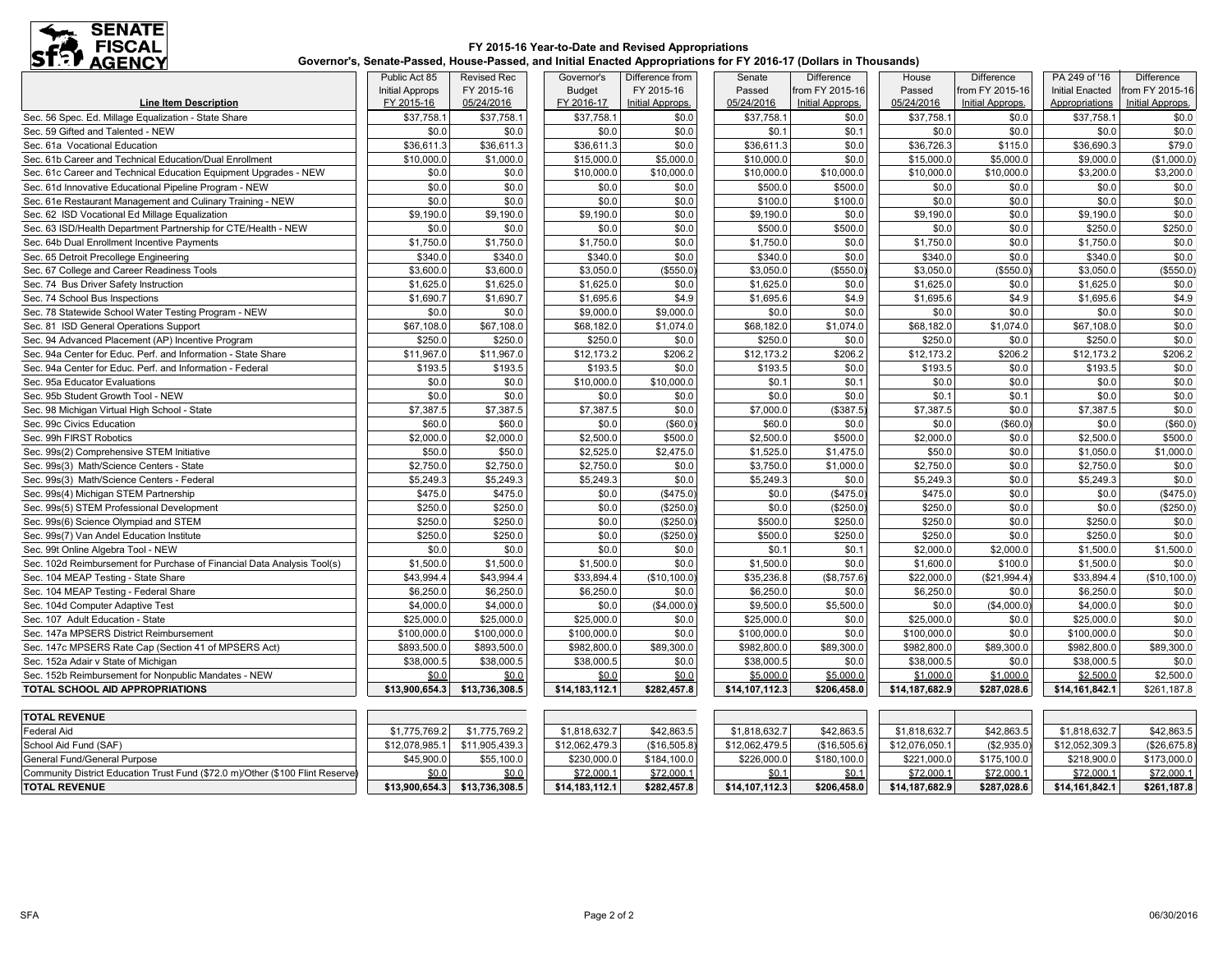

### **FY 2015-16 Year-to-Date and Revised Appropriations Governor's, Senate-Passed, House-Passed, and Initial Enacted Appropriations for FY 2016-17 (Dollars in Thousands)**

|                                                                                | Public Act 85          | <b>Revised Rec</b> | Governor's     | Difference from  | Senate         | <b>Difference</b> | House          | Difference       | PA 249 of '16          | <b>Difference</b> |
|--------------------------------------------------------------------------------|------------------------|--------------------|----------------|------------------|----------------|-------------------|----------------|------------------|------------------------|-------------------|
|                                                                                | <b>Initial Approps</b> | FY 2015-16         | <b>Budget</b>  | FY 2015-16       | Passed         | from FY 2015-16   | Passed         | from FY 2015-16  | <b>Initial Enacted</b> | from FY 2015-16   |
| <b>Line Item Description</b>                                                   | FY 2015-16             | 05/24/2016         | FY 2016-17     | Initial Approps. | 05/24/2016     | Initial Approps.  | 05/24/2016     | Initial Approps. | Appropriations         | Initial Approps.  |
| Sec. 56 Spec. Ed. Millage Equalization - State Share                           | \$37,758.1             | \$37,758.1         | \$37,758.1     | \$0.0            | \$37,758.1     | \$0.0             | \$37,758.1     | \$0.0            | \$37,758.1             | \$0.0             |
| Sec. 59 Gifted and Talented - NEW                                              | \$0.0                  | \$0.0              | \$0.0          | \$0.0            | \$0.1          | \$0.1             | \$0.0          | \$0.0            | \$0.0                  | \$0.0             |
| Sec. 61a Vocational Education                                                  | \$36,611.3             | \$36,611.3         | \$36,611.3     | \$0.0            | \$36,611.3     | \$0.0             | \$36,726.3     | \$115.0          | \$36,690.3             | \$79.0            |
| Sec. 61b Career and Technical Education/Dual Enrollment                        | \$10,000.0             | \$1,000.0          | \$15,000.0     | \$5,000.0        | \$10,000.0     | \$0.0             | \$15,000.0     | \$5,000.0        | \$9,000.0              | (\$1,000.0)       |
| Sec. 61c Career and Technical Education Equipment Upgrades - NEW               | \$0.0                  | \$0.0              | \$10,000.0     | \$10,000.0       | \$10,000.0     | \$10,000.0        | \$10,000.0     | \$10,000.0       | \$3,200.0              | \$3,200.0         |
| Sec. 61d Innovative Educational Pipeline Program - NEW                         | \$0.0                  | \$0.0              | \$0.0          | \$0.0            | \$500.0        | \$500.0           | \$0.0          | \$0.0            | \$0.0                  | \$0.0             |
| Sec. 61e Restaurant Management and Culinary Training - NEW                     | \$0.0                  | \$0.0              | \$0.0          | \$0.0            | \$100.0        | \$100.0           | \$0.0          | \$0.0            | \$0.0                  | \$0.0             |
| Sec. 62 ISD Vocational Ed Millage Equalization                                 | \$9,190.0              | \$9,190.0          | \$9,190.0      | \$0.0            | \$9,190.0      | \$0.0             | \$9,190.0      | \$0.0            | \$9,190.0              | \$0.0             |
| Sec. 63 ISD/Health Department Partnership for CTE/Health - NEW                 | \$0.0                  | \$0.0              | \$0.0          | \$0.0            | \$500.0        | \$500.0           | \$0.0          | \$0.0            | \$250.0                | \$250.0           |
| Sec. 64b Dual Enrollment Incentive Payments                                    | \$1,750.0              | \$1,750.0          | \$1,750.0      | \$0.0            | \$1,750.0      | \$0.0             | \$1,750.0      | \$0.0            | \$1,750.0              | \$0.0             |
| Sec. 65 Detroit Precollege Engineering                                         | \$340.0                | \$340.0            | \$340.0        | \$0.0            | \$340.0        | \$0.0             | \$340.0        | \$0.0            | \$340.0                | \$0.0             |
| Sec. 67 College and Career Readiness Tools                                     | \$3,600.0              | \$3,600.0          | \$3,050.0      | (\$550.0)        | \$3,050.0      | (\$550.0          | \$3,050.0      | (\$550.0)        | \$3,050.0              | (\$550.0)         |
| Sec. 74 Bus Driver Safety Instruction                                          | \$1,625.0              | \$1,625.0          | \$1,625.0      | \$0.0            | \$1,625.0      | \$0.0             | \$1,625.0      | \$0.0            | \$1,625.0              | \$0.0             |
| Sec. 74 School Bus Inspections                                                 | \$1,690.7              | \$1,690.7          | \$1,695.6      | \$4.9            | \$1,695.6      | \$4.9             | \$1,695.6      | \$4.9            | \$1,695.6              | \$4.9             |
| Sec. 78 Statewide School Water Testing Program - NEW                           | \$0.0                  | \$0.0              | \$9,000.0      | \$9,000.0        | \$0.0          | \$0.0             | \$0.0          | \$0.0            | \$0.0                  | \$0.0             |
| Sec. 81 ISD General Operations Support                                         | \$67,108.0             | \$67,108.0         | \$68,182.0     | \$1,074.0        | \$68,182.0     | \$1,074.0         | \$68,182.0     | \$1,074.0        | \$67,108.0             | \$0.0             |
| Sec. 94 Advanced Placement (AP) Incentive Program                              | \$250.0                | \$250.0            | \$250.0        | \$0.0            | \$250.0        | \$0.0             | \$250.0        | \$0.0            | \$250.0                | \$0.0             |
| Sec. 94a Center for Educ. Perf. and Information - State Share                  | \$11,967.0             | \$11,967.0         | \$12,173.2     | \$206.2          | \$12,173.2     | \$206.2           | \$12,173.2     | \$206.2          | \$12,173.2             | \$206.2           |
| Sec. 94a Center for Educ. Perf. and Information - Federal                      | \$193.5                | \$193.5            | \$193.5        | \$0.0            | \$193.5        | \$0.0             | \$193.5        | \$0.0            | \$193.5                | \$0.0             |
| Sec. 95a Educator Evaluations                                                  | \$0.0                  | \$0.0              | \$10,000.0     | \$10,000.0       | \$0.1          | \$0.1             | \$0.0          | \$0.0            | \$0.0                  | \$0.0             |
| Sec. 95b Student Growth Tool - NEW                                             | \$0.0                  | \$0.0              | \$0.0          | \$0.0            | \$0.0          | \$0.0             | \$0.1          | \$0.1            | \$0.0                  | \$0.0             |
| Sec. 98 Michigan Virtual High School - State                                   | \$7,387.5              | \$7,387.5          | \$7,387.5      | \$0.0            | \$7,000.0      | (\$387.5)         | \$7,387.5      | \$0.0            | \$7,387.5              | \$0.0             |
| Sec. 99c Civics Education                                                      | \$60.0                 | \$60.0             | \$0.0          | (\$60.0)         | \$60.0         | \$0.0             | \$0.0          | (\$60.0)         | \$0.0                  | (\$60.0)          |
| Sec. 99h FIRST Robotics                                                        | \$2,000.0              | \$2,000.0          | \$2,500.0      | \$500.0          | \$2,500.0      | \$500.0           | \$2,000.0      | \$0.0            | \$2,500.0              | \$500.0           |
| Sec. 99s(2) Comprehensive STEM Initiative                                      | \$50.0                 | \$50.0             | \$2,525.0      | \$2,475.0        | \$1,525.0      | \$1,475.0         | \$50.0         | \$0.0            | \$1,050.0              | \$1,000.0         |
| Sec. 99s(3) Math/Science Centers - State                                       | \$2,750.0              | \$2,750.0          | \$2,750.0      | \$0.0            | \$3,750.0      | \$1,000.0         | \$2,750.0      | \$0.0            | \$2,750.0              | \$0.0             |
| Sec. 99s(3) Math/Science Centers - Federal                                     | \$5,249.3              | \$5,249.3          | \$5,249.3      | \$0.0            | \$5,249.3      | \$0.0             | \$5,249.3      | \$0.0            | \$5,249.3              | \$0.0             |
| Sec. 99s(4) Michigan STEM Partnership                                          | \$475.0                | \$475.0            | \$0.0          | (\$475.0)        | \$0.0          | (\$475.0          | \$475.0        | \$0.0            | \$0.0                  | (\$475.0)         |
| Sec. 99s(5) STEM Professional Development                                      | \$250.0                | \$250.0            | \$0.0          | (\$250.0)        | \$0.0          | (\$250.0          | \$250.0        | \$0.0            | \$0.0                  | (\$250.0)         |
| Sec. 99s(6) Science Olympiad and STEM                                          | \$250.0                | \$250.0            | \$0.0          | (\$250.0)        | \$500.0        | \$250.0           | \$250.0        | \$0.0            | \$250.0                | \$0.0             |
| Sec. 99s(7) Van Andel Education Institute                                      | \$250.0                | \$250.0            | \$0.0          | (\$250.0)        | \$500.0        | \$250.0           | \$250.0        | \$0.0            | \$250.0                | \$0.0             |
| Sec. 99t Online Algebra Tool - NEW                                             | \$0.0                  | \$0.0              | \$0.0          | \$0.0            | \$0.1          | \$0.7             | \$2,000.0      | \$2,000.0        | \$1,500.0              | \$1,500.0         |
| Sec. 102d Reimbursement for Purchase of Financial Data Analysis Tool(s)        | \$1,500.0              | \$1,500.0          | \$1,500.0      | \$0.0            | \$1,500.0      | \$0.0             | \$1,600.0      | \$100.0          | \$1,500.0              | \$0.0             |
| Sec. 104 MEAP Testing - State Share                                            | \$43,994.4             | \$43,994.4         | \$33,894.4     | (\$10, 100.0)    | \$35,236.8     | (\$8,757.6        | \$22,000.0     | (\$21,994.4)     | \$33,894.4             | (\$10, 100.0)     |
| Sec. 104 MEAP Testing - Federal Share                                          | \$6,250.0              | \$6,250.0          | \$6,250.0      | \$0.0            | \$6,250.0      | \$0.0             | \$6,250.0      | \$0.0            | \$6,250.0              | \$0.0             |
| Sec. 104d Computer Adaptive Test                                               | \$4,000.0              | \$4,000.0          | \$0.0          | (\$4,000.0)      | \$9,500.0      | \$5,500.0         | \$0.0          | (\$4,000.0       | \$4,000.0              | \$0.0             |
| Sec. 107 Adult Education - State                                               | \$25,000.0             | \$25,000.0         | \$25,000.0     | \$0.0            | \$25,000.0     | \$0.0             | \$25,000.0     | \$0.0            | \$25,000.0             | \$0.0             |
| Sec. 147a MPSERS District Reimbursement                                        | \$100,000.0            | \$100,000.0        | \$100,000.0    | \$0.0            | \$100,000.0    | \$0.0             | \$100,000.0    | \$0.0            | \$100,000.0            | \$0.0             |
| Sec. 147c MPSERS Rate Cap (Section 41 of MPSERS Act)                           | \$893,500.0            | \$893,500.0        | \$982,800.0    | \$89,300.0       | \$982,800.0    | \$89,300.0        | \$982,800.0    | \$89,300.0       | \$982,800.0            | \$89,300.0        |
| Sec. 152a Adair v State of Michigan                                            | \$38,000.5             | \$38,000.5         | \$38,000.5     | \$0.0            | \$38,000.5     | \$0.0             | \$38,000.5     | \$0.0            | \$38,000.5             | \$0.0             |
| Sec. 152b Reimbursement for Nonpublic Mandates - NEW                           | \$0.0                  | \$0.0              | \$0.0          | \$0.0            | \$5,000.0      | \$5,000.0         | \$1,000.0      | \$1,000.0        | \$2,500.0              | \$2,500.0         |
| TOTAL SCHOOL AID APPROPRIATIONS                                                | \$13,900,654.3         | \$13,736,308.5     | \$14,183,112.1 | \$282,457.8      | \$14,107,112.3 | \$206,458.0       | \$14,187,682.9 | \$287,028.6      | \$14,161,842.1         | \$261,187.8       |
|                                                                                |                        |                    |                |                  |                |                   |                |                  |                        |                   |
| <b>TOTAL REVENUE</b>                                                           |                        |                    |                |                  |                |                   |                |                  |                        |                   |
| Federal Aid                                                                    | \$1,775,769.2          | \$1,775,769.2      | \$1,818,632.7  | \$42,863.5       | \$1,818,632.7  | \$42,863.5        | \$1,818,632.7  | \$42,863.5       | \$1,818,632.7          | \$42,863.5        |
| School Aid Fund (SAF)                                                          | \$12,078,985.1         | \$11,905,439.3     | \$12,062,479.3 | (\$16,505.8)     | \$12,062,479.5 | (\$16,505.6)      | \$12,076,050.1 | (\$2,935.0)      | \$12,052,309.3         | (\$26,675.8)      |
| General Fund/General Purpose                                                   | \$45,900.0             | \$55,100.0         | \$230,000.0    | \$184,100.0      | \$226,000.0    | \$180,100.0       | \$221,000.0    | \$175,100.0      | \$218,900.0            | \$173,000.0       |
| Community District Education Trust Fund (\$72.0 m)/Other (\$100 Flint Reserve) | \$0.0                  | \$0.0              | \$72,000.1     | \$72,000.1       | \$0.1          | \$0.1             | \$72,000.1     | \$72,000.1       | \$72,000.1             | \$72,000.1        |
| <b>TOTAL REVENUE</b>                                                           | \$13,900,654.3         | \$13,736,308.5     | \$14,183,112.1 | \$282,457.8      | \$14,107,112.3 | \$206,458.0       | \$14,187,682.9 | \$287,028.6      | \$14,161,842.1         | \$261,187.8       |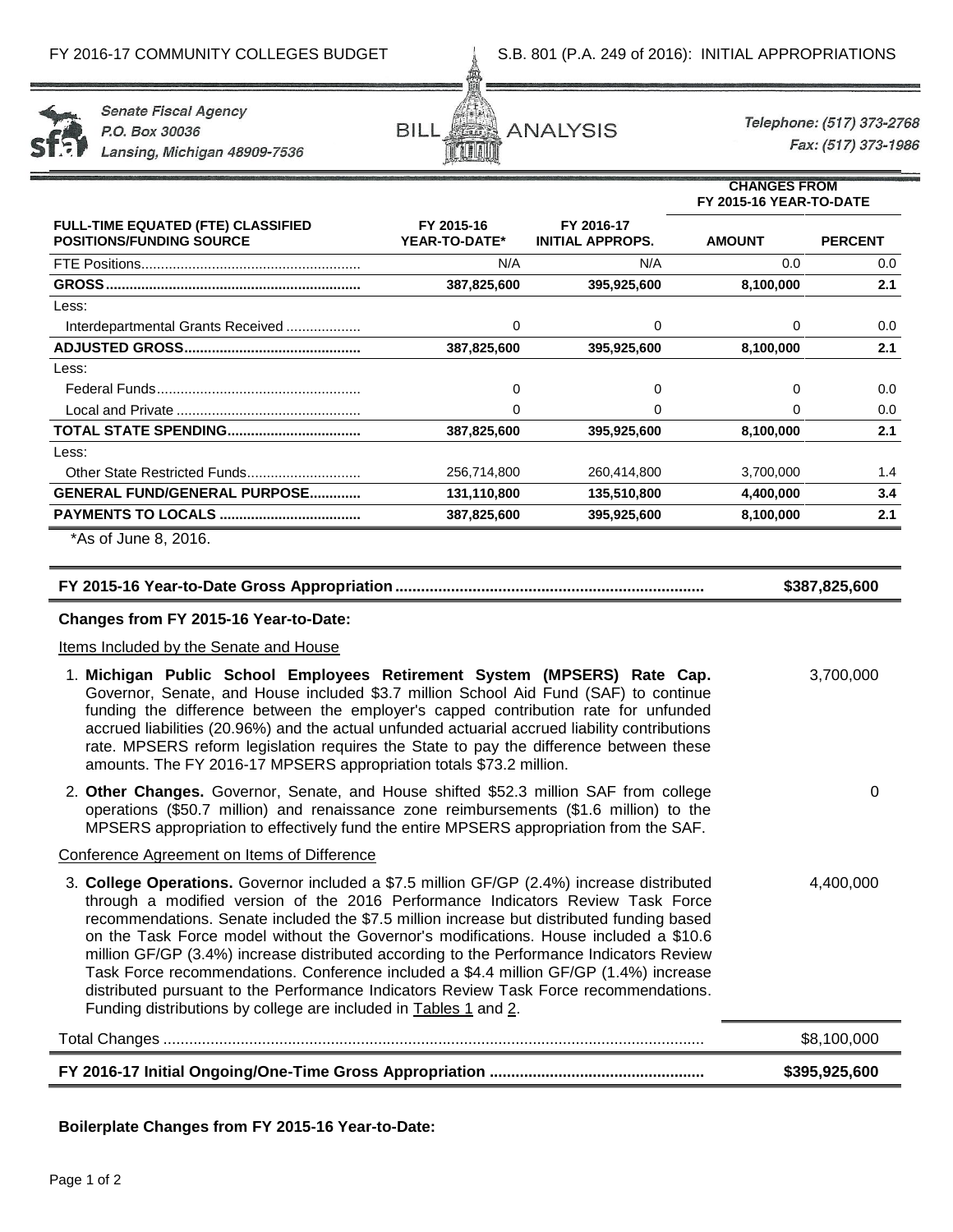

**Senate Fiscal Agency** P.O. Box 30036 Lansing, Michigan 48909-7536



Telephone: (517) 373-2768 Fax: (517) 373-1986

0

**CHANGES FROM**

|                                                                              |                             |                                       | ייייי ייצעותוט<br>FY 2015-16 YEAR-TO-DATE |                |  |
|------------------------------------------------------------------------------|-----------------------------|---------------------------------------|-------------------------------------------|----------------|--|
| <b>FULL-TIME EQUATED (FTE) CLASSIFIED</b><br><b>POSITIONS/FUNDING SOURCE</b> | FY 2015-16<br>YEAR-TO-DATE* | FY 2016-17<br><b>INITIAL APPROPS.</b> | <b>AMOUNT</b>                             | <b>PERCENT</b> |  |
|                                                                              | N/A                         | N/A                                   | 0.0                                       | 0.0            |  |
| <b>GROSS</b>                                                                 | 387,825,600                 | 395,925,600                           | 8,100,000                                 | 2.1            |  |
| Less:                                                                        |                             |                                       |                                           |                |  |
| Interdepartmental Grants Received                                            | 0                           | 0                                     | 0                                         | 0.0            |  |
|                                                                              | 387,825,600                 | 395,925,600                           | 8,100,000                                 | 2.1            |  |
| Less:                                                                        |                             |                                       |                                           |                |  |
|                                                                              | 0                           | 0                                     | 0                                         | 0.0            |  |
|                                                                              | 0                           | 0                                     | 0                                         | 0.0            |  |
| <b>TOTAL STATE SPENDING</b>                                                  | 387,825,600                 | 395,925,600                           | 8,100,000                                 | 2.1            |  |
| Less:                                                                        |                             |                                       |                                           |                |  |
|                                                                              | 256,714,800                 | 260,414,800                           | 3,700,000                                 | 1.4            |  |
| <b>GENERAL FUND/GENERAL PURPOSE</b>                                          | 131,110,800                 | 135,510,800                           | 4,400,000                                 | 3.4            |  |
|                                                                              | 387,825,600                 | 395,925,600                           | 8,100,000                                 | 2.1            |  |
| *As of June 8, 2016.                                                         |                             |                                       |                                           |                |  |

**FY 2015-16 Year-to-Date Gross Appropriation........................................................................ \$387,825,600**

## **Changes from FY 2015-16 Year-to-Date:**

## Items Included by the Senate and House

- 1. **Michigan Public School Employees Retirement System (MPSERS) Rate Cap.**  Governor, Senate, and House included \$3.7 million School Aid Fund (SAF) to continue funding the difference between the employer's capped contribution rate for unfunded accrued liabilities (20.96%) and the actual unfunded actuarial accrued liability contributions rate. MPSERS reform legislation requires the State to pay the difference between these amounts. The FY 2016-17 MPSERS appropriation totals \$73.2 million. 3,700,000
- 2. **Other Changes.** Governor, Senate, and House shifted \$52.3 million SAF from college operations (\$50.7 million) and renaissance zone reimbursements (\$1.6 million) to the MPSERS appropriation to effectively fund the entire MPSERS appropriation from the SAF.

## Conference Agreement on Items of Difference

3. **College Operations.** Governor included a \$7.5 million GF/GP (2.4%) increase distributed through a modified version of the 2016 Performance Indicators Review Task Force recommendations. Senate included the \$7.5 million increase but distributed funding based on the Task Force model without the Governor's modifications. House included a \$10.6 million GF/GP (3.4%) increase distributed according to the Performance Indicators Review Task Force recommendations. Conference included a \$4.4 million GF/GP (1.4%) increase distributed pursuant to the Performance Indicators Review Task Force recommendations. Funding distributions by college are included in Tables 1 and 2. 4,400,000

| \$8.100.000   |
|---------------|
| \$395,925,600 |

# **Boilerplate Changes from FY 2015-16 Year-to-Date:**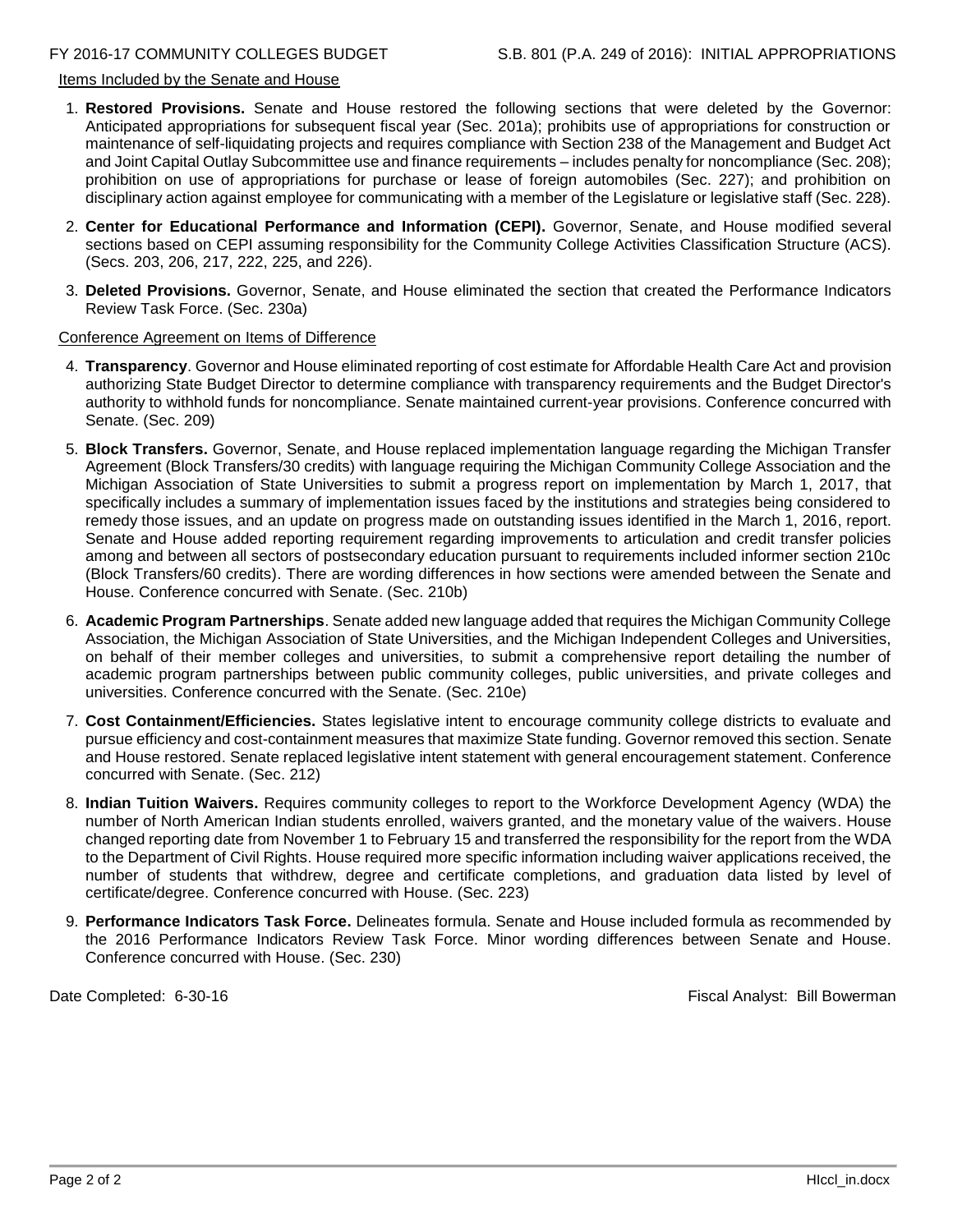# Items Included by the Senate and House

- 1. **Restored Provisions.** Senate and House restored the following sections that were deleted by the Governor: Anticipated appropriations for subsequent fiscal year (Sec. 201a); prohibits use of appropriations for construction or maintenance of self-liquidating projects and requires compliance with Section 238 of the Management and Budget Act and Joint Capital Outlay Subcommittee use and finance requirements – includes penalty for noncompliance (Sec. 208); prohibition on use of appropriations for purchase or lease of foreign automobiles (Sec. 227); and prohibition on disciplinary action against employee for communicating with a member of the Legislature or legislative staff (Sec. 228).
- 2. **Center for Educational Performance and Information (CEPI).** Governor, Senate, and House modified several sections based on CEPI assuming responsibility for the Community College Activities Classification Structure (ACS). (Secs. 203, 206, 217, 222, 225, and 226).
- 3. **Deleted Provisions.** Governor, Senate, and House eliminated the section that created the Performance Indicators Review Task Force. (Sec. 230a)

## Conference Agreement on Items of Difference

- 4. **Transparency**. Governor and House eliminated reporting of cost estimate for Affordable Health Care Act and provision authorizing State Budget Director to determine compliance with transparency requirements and the Budget Director's authority to withhold funds for noncompliance. Senate maintained current-year provisions. Conference concurred with Senate. (Sec. 209)
- 5. **Block Transfers.** Governor, Senate, and House replaced implementation language regarding the Michigan Transfer Agreement (Block Transfers/30 credits) with language requiring the Michigan Community College Association and the Michigan Association of State Universities to submit a progress report on implementation by March 1, 2017, that specifically includes a summary of implementation issues faced by the institutions and strategies being considered to remedy those issues, and an update on progress made on outstanding issues identified in the March 1, 2016, report. Senate and House added reporting requirement regarding improvements to articulation and credit transfer policies among and between all sectors of postsecondary education pursuant to requirements included informer section 210c (Block Transfers/60 credits). There are wording differences in how sections were amended between the Senate and House. Conference concurred with Senate. (Sec. 210b)
- 6. **Academic Program Partnerships**. Senate added new language added that requires the Michigan Community College Association, the Michigan Association of State Universities, and the Michigan Independent Colleges and Universities, on behalf of their member colleges and universities, to submit a comprehensive report detailing the number of academic program partnerships between public community colleges, public universities, and private colleges and universities. Conference concurred with the Senate. (Sec. 210e)
- 7. **Cost Containment/Efficiencies.** States legislative intent to encourage community college districts to evaluate and pursue efficiency and cost-containment measures that maximize State funding. Governor removed this section. Senate and House restored. Senate replaced legislative intent statement with general encouragement statement. Conference concurred with Senate. (Sec. 212)
- 8. **Indian Tuition Waivers.** Requires community colleges to report to the Workforce Development Agency (WDA) the number of North American Indian students enrolled, waivers granted, and the monetary value of the waivers. House changed reporting date from November 1 to February 15 and transferred the responsibility for the report from the WDA to the Department of Civil Rights. House required more specific information including waiver applications received, the number of students that withdrew, degree and certificate completions, and graduation data listed by level of certificate/degree. Conference concurred with House. (Sec. 223)
- 9. **Performance Indicators Task Force.** Delineates formula. Senate and House included formula as recommended by the 2016 Performance Indicators Review Task Force. Minor wording differences between Senate and House. Conference concurred with House. (Sec. 230)

Date Completed: 6-30-16 **Fiscal Analyst: Bill Bowerman**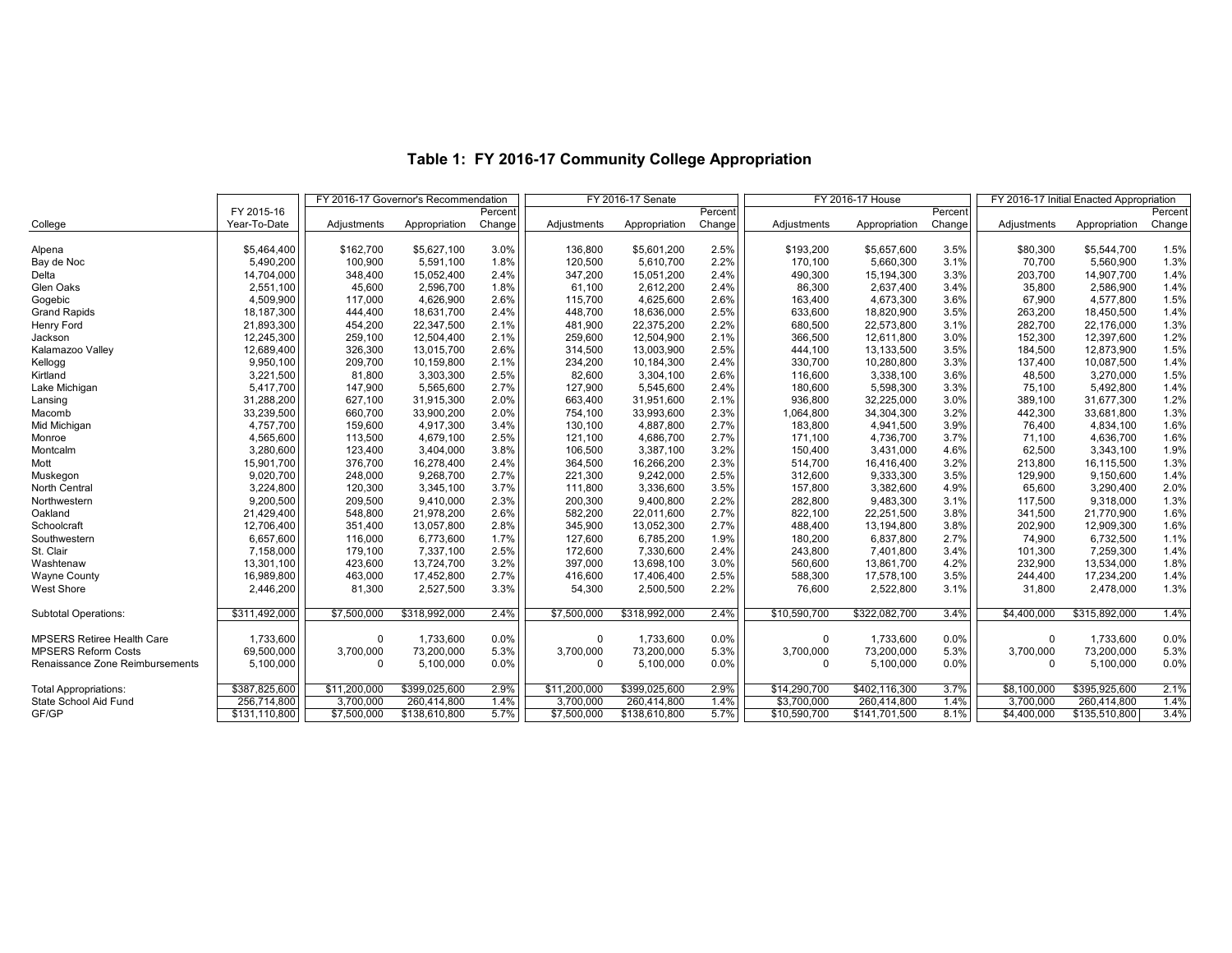|                                   |               |              | FY 2016-17 Governor's Recommendation |         | FY 2016-17 Senate |               |         | FY 2016-17 House | FY 2016-17 Initial Enacted Appropriation |         |             |               |         |
|-----------------------------------|---------------|--------------|--------------------------------------|---------|-------------------|---------------|---------|------------------|------------------------------------------|---------|-------------|---------------|---------|
|                                   | FY 2015-16    |              |                                      | Percent |                   |               | Percent |                  |                                          | Percent |             |               | Percent |
| College                           | Year-To-Date  | Adjustments  | Appropriation                        | Change  | Adjustments       | Appropriation | Change  | Adjustments      | Appropriation                            | Change  | Adjustments | Appropriation | Change  |
| Alpena                            | \$5,464,400   | \$162,700    | \$5,627,100                          | 3.0%    | 136,800           | \$5,601,200   | 2.5%    | \$193,200        | \$5,657,600                              | 3.5%    | \$80,300    | \$5,544,700   | 1.5%    |
| Bay de Noc                        | 5,490,200     | 100,900      | 5,591,100                            | 1.8%    | 120,500           | 5,610,700     | 2.2%    | 170,100          | 5,660,300                                | 3.1%    | 70,700      | 5,560,900     | 1.3%    |
| Delta                             | 14,704,000    | 348,400      | 15,052,400                           | 2.4%    | 347,200           | 15,051,200    | 2.4%    | 490,300          | 15,194,300                               | 3.3%    | 203,700     | 14,907,700    | 1.4%    |
| Glen Oaks                         | 2,551,100     | 45,600       | 2,596,700                            | 1.8%    | 61.100            | 2,612,200     | 2.4%    | 86,300           | 2,637,400                                | 3.4%    | 35,800      | 2,586,900     | 1.4%    |
| Gogebic                           | 4,509,900     | 117,000      | 4,626,900                            | 2.6%    | 115,700           | 4,625,600     | 2.6%    | 163,400          | 4,673,300                                | 3.6%    | 67,900      | 4,577,800     | 1.5%    |
| <b>Grand Rapids</b>               | 18,187,300    | 444,400      | 18,631,700                           | 2.4%    | 448,700           | 18,636,000    | 2.5%    | 633,600          | 18,820,900                               | 3.5%    | 263,200     | 18,450,500    | 1.4%    |
| Henry Ford                        | 21,893,300    | 454,200      | 22,347,500                           | 2.1%    | 481,900           | 22,375,200    | 2.2%    | 680,500          | 22,573,800                               | 3.1%    | 282,700     | 22,176,000    | 1.3%    |
| Jackson                           | 12,245,300    | 259,100      | 12,504,400                           | 2.1%    | 259,600           | 12,504,900    | 2.1%    | 366,500          | 12,611,800                               | 3.0%    | 152,300     | 12,397,600    | 1.2%    |
| Kalamazoo Valley                  | 12,689,400    | 326,300      | 13,015,700                           | 2.6%    | 314,500           | 13,003,900    | 2.5%    | 444,100          | 13,133,500                               | 3.5%    | 184,500     | 12,873,900    | 1.5%    |
| Kellogg                           | 9,950,100     | 209,700      | 10,159,800                           | 2.1%    | 234,200           | 10,184,300    | 2.4%    | 330,700          | 10,280,800                               | 3.3%    | 137,400     | 10,087,500    | 1.4%    |
| Kirtland                          | 3,221,500     | 81,800       | 3,303,300                            | 2.5%    | 82.600            | 3,304,100     | 2.6%    | 116,600          | 3,338,100                                | 3.6%    | 48,500      | 3,270,000     | 1.5%    |
| Lake Michigan                     | 5,417,700     | 147,900      | 5,565,600                            | 2.7%    | 127,900           | 5,545,600     | 2.4%    | 180,600          | 5,598,300                                | 3.3%    | 75,100      | 5,492,800     | 1.4%    |
| Lansing                           | 31,288,200    | 627,100      | 31,915,300                           | 2.0%    | 663,400           | 31,951,600    | 2.1%    | 936,800          | 32,225,000                               | 3.0%    | 389,100     | 31,677,300    | 1.2%    |
| Macomb                            | 33,239,500    | 660,700      | 33,900,200                           | 2.0%    | 754,100           | 33,993,600    | 2.3%    | 1,064,800        | 34,304,300                               | 3.2%    | 442,300     | 33,681,800    | 1.3%    |
| Mid Michigan                      | 4,757,700     | 159,600      | 4.917.300                            | 3.4%    | 130,100           | 4,887,800     | 2.7%    | 183,800          | 4,941,500                                | 3.9%    | 76.400      | 4,834,100     | 1.6%    |
| Monroe                            | 4,565,600     | 113,500      | 4,679,100                            | 2.5%    | 121,100           | 4,686,700     | 2.7%    | 171,100          | 4,736,700                                | 3.7%    | 71,100      | 4,636,700     | 1.6%    |
| Montcalm                          | 3,280,600     | 123,400      | 3,404,000                            | 3.8%    | 106,500           | 3,387,100     | 3.2%    | 150,400          | 3,431,000                                | 4.6%    | 62,500      | 3,343,100     | 1.9%    |
| Mott                              | 15,901,700    | 376,700      | 16,278,400                           | 2.4%    | 364,500           | 16,266,200    | 2.3%    | 514,700          | 16,416,400                               | 3.2%    | 213,800     | 16,115,500    | 1.3%    |
| Muskegon                          | 9,020,700     | 248,000      | 9,268,700                            | 2.7%    | 221,300           | 9,242,000     | 2.5%    | 312,600          | 9,333,300                                | 3.5%    | 129,900     | 9,150,600     | 1.4%    |
| North Central                     | 3,224,800     | 120,300      | 3,345,100                            | 3.7%    | 111,800           | 3,336,600     | 3.5%    | 157,800          | 3,382,600                                | 4.9%    | 65,600      | 3,290,400     | 2.0%    |
| Northwestern                      | 9,200,500     | 209,500      | 9,410,000                            | 2.3%    | 200,300           | 9,400,800     | 2.2%    | 282,800          | 9,483,300                                | 3.1%    | 117,500     | 9,318,000     | 1.3%    |
| Oakland                           | 21,429,400    | 548,800      | 21,978,200                           | 2.6%    | 582,200           | 22,011,600    | 2.7%    | 822,100          | 22,251,500                               | 3.8%    | 341,500     | 21,770,900    | 1.6%    |
| Schoolcraft                       | 12,706,400    | 351,400      | 13,057,800                           | 2.8%    | 345,900           | 13,052,300    | 2.7%    | 488,400          | 13,194,800                               | 3.8%    | 202,900     | 12,909,300    | 1.6%    |
| Southwestern                      | 6,657,600     | 116,000      | 6,773,600                            | 1.7%    | 127,600           | 6,785,200     | 1.9%    | 180,200          | 6,837,800                                | 2.7%    | 74,900      | 6,732,500     | 1.1%    |
| St. Clair                         | 7,158,000     | 179,100      | 7,337,100                            | 2.5%    | 172,600           | 7,330,600     | 2.4%    | 243,800          | 7,401,800                                | 3.4%    | 101,300     | 7,259,300     | 1.4%    |
| Washtenaw                         | 13,301,100    | 423,600      | 13,724,700                           | 3.2%    | 397,000           | 13,698,100    | 3.0%    | 560,600          | 13,861,700                               | 4.2%    | 232,900     | 13,534,000    | 1.8%    |
| <b>Wayne County</b>               | 16,989,800    | 463,000      | 17,452,800                           | 2.7%    | 416,600           | 17,406,400    | 2.5%    | 588,300          | 17,578,100                               | 3.5%    | 244,400     | 17,234,200    | 1.4%    |
| <b>West Shore</b>                 | 2,446,200     | 81,300       | 2,527,500                            | 3.3%    | 54,300            | 2,500,500     | 2.2%    | 76,600           | 2,522,800                                | 3.1%    | 31,800      | 2,478,000     | 1.3%    |
| <b>Subtotal Operations:</b>       | \$311,492,000 | \$7,500,000  | \$318,992,000                        | 2.4%    | \$7,500,000       | \$318,992,000 | 2.4%    | \$10,590,700     | \$322,082,700                            | 3.4%    | \$4,400,000 | \$315,892,000 | 1.4%    |
| <b>MPSERS Retiree Health Care</b> | 1,733,600     | $\Omega$     | 1.733.600                            | 0.0%    | $\Omega$          | 1,733,600     | 0.0%    | $\mathbf 0$      | 1,733,600                                | 0.0%    | $\mathbf 0$ | 1,733,600     | 0.0%    |
| <b>MPSERS Reform Costs</b>        | 69,500,000    | 3,700,000    | 73.200.000                           | 5.3%    | 3,700,000         | 73,200,000    | 5.3%    | 3,700,000        | 73,200,000                               | 5.3%    | 3,700,000   | 73,200,000    | 5.3%    |
| Renaissance Zone Reimbursements   | 5,100,000     | $\Omega$     | 5,100,000                            | 0.0%    | $\Omega$          | 5,100,000     | 0.0%    | $\mathbf 0$      | 5,100,000                                | 0.0%    | $\Omega$    | 5,100,000     | 0.0%    |
|                                   |               |              |                                      |         |                   |               |         |                  |                                          |         |             |               |         |
| <b>Total Appropriations:</b>      | \$387,825,600 | \$11,200,000 | \$399,025,600                        | 2.9%    | \$11,200,000      | \$399,025,600 | 2.9%    | \$14,290,700     | \$402,116,300                            | 3.7%    | \$8,100,000 | \$395,925,600 | 2.1%    |
| State School Aid Fund             | 256,714,800   | 3,700,000    | 260.414.800                          | 1.4%    | 3.700.000         | 260,414,800   | 1.4%    | \$3,700,000      | 260,414,800                              | 1.4%    | 3.700.000   | 260,414,800   | 1.4%    |
| GF/GP                             | \$131,110,800 | \$7,500,000  | \$138,610,800                        | 5.7%    | \$7,500,000       | \$138,610,800 | 5.7%    | \$10,590,700     | \$141,701,500                            | 8.1%    | \$4,400,000 | \$135,510,800 | 3.4%    |

# **Table 1: FY 2016-17 Community College Appropriation**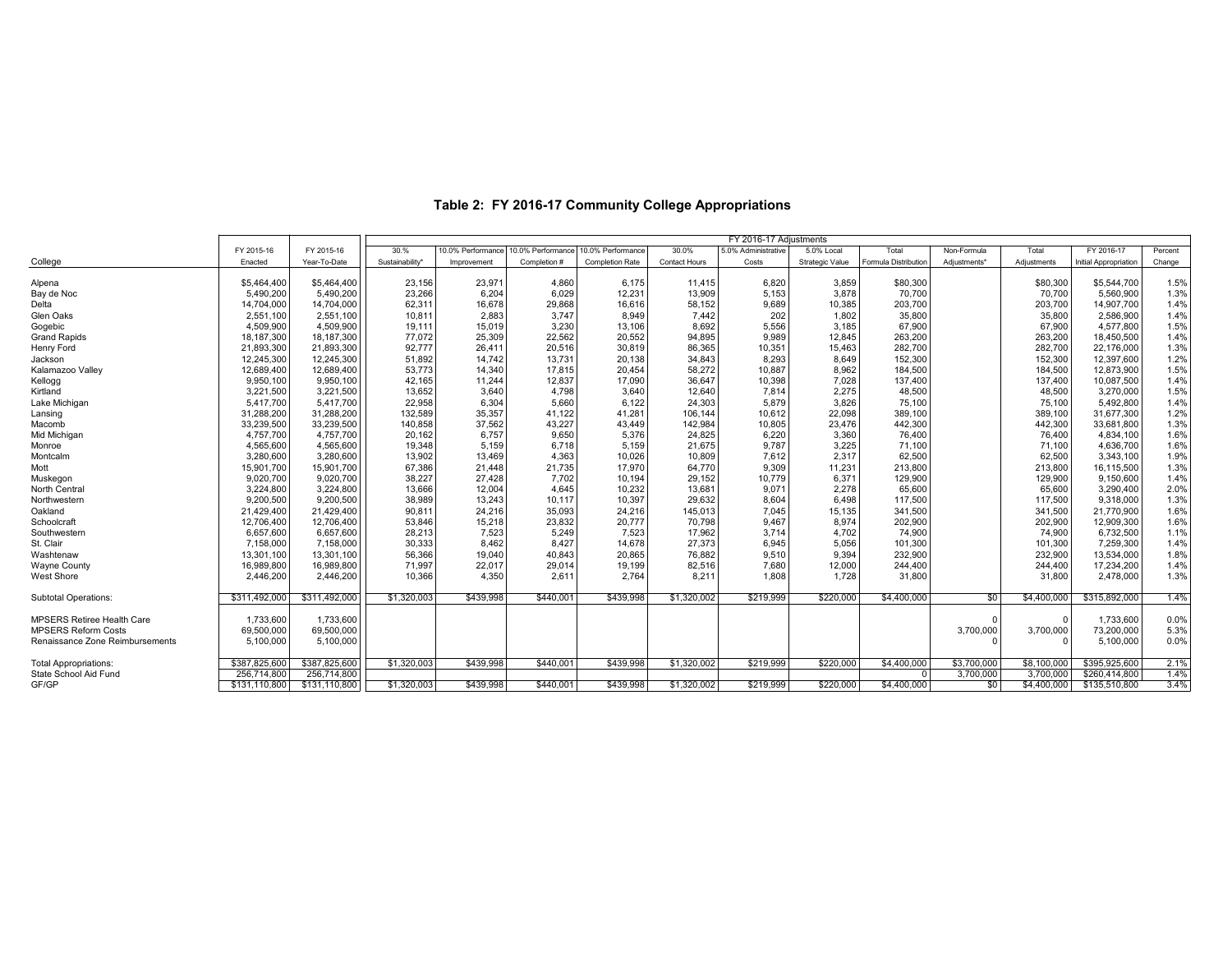| 30.%<br>10.0% Performance 10.0% Performance<br>10.0% Performance<br>FY 2016-17<br>FY 2015-16<br>FY 2015-16<br>30.0%<br>5.0% Administrative<br>5.0% Local<br>Total<br>Non-Formula<br>Percent<br>Total<br>Enacted<br>Year-To-Date<br>Sustainability <sup>*</sup><br>Contact Hours<br>Costs<br>Strategic Value<br>Formula Distribution<br>Completion #<br><b>Completion Rate</b><br>Adiustments*<br>Adiustments<br>Initial Appropriation<br>Improvement<br>Change<br>23,971<br>1.5%<br>Alpena<br>\$5,464,400<br>\$5,464,400<br>23,156<br>4,860<br>6,175<br>11,415<br>6,820<br>3,859<br>\$80,300<br>\$80,300<br>\$5,544,700<br>6,204<br>Bay de Noc<br>5,490,200<br>23,266<br>6,029<br>12,231<br>13,909<br>5,153<br>3,878<br>70,700<br>70,700<br>5,560,900<br>1.3%<br>5,490,200<br>Delta<br>62,311<br>16,678<br>203,700<br>203,700<br>14,704,000<br>14,704,000<br>29,868<br>58,152<br>9,689<br>10,385<br>14,907,700<br>1.4%<br>16,616<br>Glen Oaks<br>2,883<br>7,442<br>202<br>35,800<br>10,811<br>3,747<br>1,802<br>35,800<br>2,586,900<br>1.4%<br>2,551,100<br>2,551,100<br>8,949<br>8,692<br>67,900<br>67,900<br>4,509,900<br>4,509,900<br>19,111<br>15,019<br>3,230<br>13,106<br>5,556<br>3,185<br>4,577,800<br>1.5%<br>77,072<br>25,309<br>22,562<br>94,895<br>9,989<br>263,200<br>263,200<br>18,187,300<br>18,187,300<br>20,552<br>12,845<br>18,450,500<br>1.4%<br>92,777<br>282,700<br>1.3%<br>21,893,300<br>21,893,300<br>26,411<br>20,516<br>30,819<br>86,365<br>10,351<br>282,700<br>22,176,000<br>15,463<br>51,892<br>14,742<br>34,843<br>8,293<br>152,300<br>152,300<br>12,397,600<br>1.2%<br>12,245,300<br>12,245,300<br>13,731<br>20,138<br>8,649<br>53,773<br>184,500<br>12,689,400<br>12,689,400<br>14,340<br>17,815<br>20,454<br>58,272<br>10,887<br>8,962<br>184,500<br>12,873,900<br>1.5%<br>42,165<br>11,244<br>36,647<br>10,398<br>7,028<br>137,400<br>137,400<br>1.4%<br>9,950,100<br>9,950,100<br>12,837<br>17,090<br>10,087,500<br>13,652<br>48,500<br>3,221,500<br>3,221,500<br>3,640<br>4,798<br>12,640<br>7,814<br>2,275<br>48,500<br>3,270,000<br>1.5%<br>3,640<br>22,958<br>6,304<br>75,100<br>5,417,700<br>5,417,700<br>5,660<br>6,122<br>24,303<br>5,879<br>3,826<br>75,100<br>5,492,800<br>1.4%<br>132,589<br>31,288,200<br>31,288,200<br>35,357<br>41,122<br>41,281<br>106,144<br>10,612<br>22,098<br>389,100<br>389,100<br>31,677,300<br>1.2%<br>140,858<br>37,562<br>43,227<br>142,984<br>10,805<br>442,300<br>442,300<br>1.3%<br>33,239,500<br>33,239,500<br>43,449<br>23,476<br>33,681,800<br>6,757<br>4,757,700<br>20,162<br>24,825<br>6,220<br>76,400<br>76,400<br>1.6%<br>4,757,700<br>9,650<br>5,376<br>3,360<br>4.834.100<br>19,348<br>5,159<br>21,675<br>9,787<br>71,100<br>4,565,600<br>4,565,600<br>6,718<br>5,159<br>3,225<br>71,100<br>4,636,700<br>1.6%<br>13,902<br>3,280,600<br>13,469<br>4,363<br>10,809<br>7.612<br>62,500<br>62,500<br>1.9%<br>3,280,600<br>10,026<br>2.317<br>3,343,100<br>67,386<br>64,770<br>15,901,700<br>15,901,700<br>21,448<br>21,735<br>17,970<br>9,309<br>213,800<br>213,800<br>16,115,500<br>1.3%<br>11,231<br>38,227<br>27,428<br>29,152<br>9,020,700<br>9,020,700<br>7,702<br>10,194<br>10,779<br>6,371<br>129,900<br>129,900<br>9,150,600<br>1.4%<br>3,224,800<br>13,666<br>12,004<br>13,681<br>9,071<br>65,600<br>65,600<br>3.224.800<br>4,645<br>10,232<br>2,278<br>3.290.400<br>2.0%<br>38,989<br>29,632<br>117,500<br>117,500<br>9,200,500<br>9,200,500<br>13,243<br>10,117<br>10,397<br>8,604<br>6,498<br>9,318,000<br>1.3%<br>90,811<br>341,500<br>341,500<br>21,429,400<br>21,429,400<br>24,216<br>35,093<br>24,216<br>145,013<br>7,045<br>15,135<br>21,770,900<br>1.6%<br>53,846<br>15,218<br>70,798<br>202,900<br>202,900<br>1.6%<br>12,706,400<br>12,706,400<br>23,832<br>20,777<br>9,467<br>8,974<br>12,909,300<br>7,523<br>17,962<br>6,657,600<br>6,657,600<br>28,213<br>5,249<br>3,714<br>4,702<br>74,900<br>74,900<br>6,732,500<br>1.1%<br>7,523<br>30,333<br>101,300<br>7,158,000<br>7,158,000<br>8,462<br>8,427<br>14,678<br>27,373<br>6,945<br>5,056<br>101,300<br>7,259,300<br>1.4%<br>56,366<br>76,882<br>19,040<br>232,900<br>232,900<br>13,534,000<br>1.8%<br>13,301,100<br>13,301,100<br>40,843<br>20,865<br>9,510<br>9,394<br>71,997<br>16,989,800<br>16,989,800<br>22,017<br>29,014<br>19,199<br>82,516<br>7,680<br>244,400<br>244,400<br>17,234,200<br>1.4%<br>12,000<br>4,350<br><b>West Shore</b><br>2,446,200<br>10,366<br>2,611<br>2.764<br>8,211<br>1,808<br>1,728<br>31,800<br>31,800<br>2,478,000<br>1.3%<br>2,446,200<br>\$311,492,000<br>\$439,998<br>\$220,000<br>$\overline{50}$<br>\$315,892,000<br>1.4%<br>\$311,492,000<br>\$1,320,003<br>\$440,001<br>\$439,998<br>\$1,320,002<br>\$219,999<br>\$4,400,000<br>\$4,400,000<br><b>Subtotal Operations:</b><br>1,733,600<br>1,733,600<br>1,733,600<br>0.0%<br><b>MPSERS Retiree Health Care</b><br>69,500,000<br>3,700,000<br>3,700,000<br><b>MPSERS Reform Costs</b><br>69,500,000<br>73,200,000<br>5.3%<br>5,100,000<br>5,100,000<br>5,100,000<br>0.0%<br>\$387,825,600<br>\$387,825,600<br>\$1,320,003<br>\$439,998<br>\$439,998<br>\$219,999<br>\$3,700,000<br>\$8,100,000<br>\$395,925,600<br>2.1%<br><b>Total Appropriations:</b><br>\$440,001<br>\$1,320,002<br>\$220,000<br>\$4,400,000<br>256.714.800<br>256.714.800<br>3,700,000<br>3.700.000<br>\$260.414.800<br>1.4%<br>State School Aid Fund<br>$\Omega$<br>GF/GP<br>\$131,110,800<br>\$1,320,003<br>\$439,998<br>\$440,001<br>\$439,998<br>\$1,320,002<br>\$219,999<br>\$220,000<br>\$4,400,000<br>\$0 <br>\$4,400,000<br>3.4%<br>\$131,110,800<br>\$135,510,800 |                                 |  |  |  | FY 2016-17 Adjustments |  |  |  |
|--------------------------------------------------------------------------------------------------------------------------------------------------------------------------------------------------------------------------------------------------------------------------------------------------------------------------------------------------------------------------------------------------------------------------------------------------------------------------------------------------------------------------------------------------------------------------------------------------------------------------------------------------------------------------------------------------------------------------------------------------------------------------------------------------------------------------------------------------------------------------------------------------------------------------------------------------------------------------------------------------------------------------------------------------------------------------------------------------------------------------------------------------------------------------------------------------------------------------------------------------------------------------------------------------------------------------------------------------------------------------------------------------------------------------------------------------------------------------------------------------------------------------------------------------------------------------------------------------------------------------------------------------------------------------------------------------------------------------------------------------------------------------------------------------------------------------------------------------------------------------------------------------------------------------------------------------------------------------------------------------------------------------------------------------------------------------------------------------------------------------------------------------------------------------------------------------------------------------------------------------------------------------------------------------------------------------------------------------------------------------------------------------------------------------------------------------------------------------------------------------------------------------------------------------------------------------------------------------------------------------------------------------------------------------------------------------------------------------------------------------------------------------------------------------------------------------------------------------------------------------------------------------------------------------------------------------------------------------------------------------------------------------------------------------------------------------------------------------------------------------------------------------------------------------------------------------------------------------------------------------------------------------------------------------------------------------------------------------------------------------------------------------------------------------------------------------------------------------------------------------------------------------------------------------------------------------------------------------------------------------------------------------------------------------------------------------------------------------------------------------------------------------------------------------------------------------------------------------------------------------------------------------------------------------------------------------------------------------------------------------------------------------------------------------------------------------------------------------------------------------------------------------------------------------------------------------------------------------------------------------------------------------------------------------------------------------------------------------------------------------------------------------------------------------------------------------------------------------------------------------------------------------------------------------------------------------------------------------------------------------------------------------------------------------------------------------------------------------------------------------------------------------------------------------------------------------------------------------------------------------------------------------------------------------------------------------------------------------------------------------------------------------------------------------------------------------------------------------------------------------------------------------------------------------------------------------------------------------------------------------------------------------------------------------------------------------------------------------------------------------------------------------------------------------------------------------------------------------------------------------------------------------------------------------------------------------------------------------|---------------------------------|--|--|--|------------------------|--|--|--|
|                                                                                                                                                                                                                                                                                                                                                                                                                                                                                                                                                                                                                                                                                                                                                                                                                                                                                                                                                                                                                                                                                                                                                                                                                                                                                                                                                                                                                                                                                                                                                                                                                                                                                                                                                                                                                                                                                                                                                                                                                                                                                                                                                                                                                                                                                                                                                                                                                                                                                                                                                                                                                                                                                                                                                                                                                                                                                                                                                                                                                                                                                                                                                                                                                                                                                                                                                                                                                                                                                                                                                                                                                                                                                                                                                                                                                                                                                                                                                                                                                                                                                                                                                                                                                                                                                                                                                                                                                                                                                                                                                                                                                                                                                                                                                                                                                                                                                                                                                                                                                                                                                                                                                                                                                                                                                                                                                                                                                                                                                                                                                                                                  |                                 |  |  |  |                        |  |  |  |
|                                                                                                                                                                                                                                                                                                                                                                                                                                                                                                                                                                                                                                                                                                                                                                                                                                                                                                                                                                                                                                                                                                                                                                                                                                                                                                                                                                                                                                                                                                                                                                                                                                                                                                                                                                                                                                                                                                                                                                                                                                                                                                                                                                                                                                                                                                                                                                                                                                                                                                                                                                                                                                                                                                                                                                                                                                                                                                                                                                                                                                                                                                                                                                                                                                                                                                                                                                                                                                                                                                                                                                                                                                                                                                                                                                                                                                                                                                                                                                                                                                                                                                                                                                                                                                                                                                                                                                                                                                                                                                                                                                                                                                                                                                                                                                                                                                                                                                                                                                                                                                                                                                                                                                                                                                                                                                                                                                                                                                                                                                                                                                                                  | College                         |  |  |  |                        |  |  |  |
|                                                                                                                                                                                                                                                                                                                                                                                                                                                                                                                                                                                                                                                                                                                                                                                                                                                                                                                                                                                                                                                                                                                                                                                                                                                                                                                                                                                                                                                                                                                                                                                                                                                                                                                                                                                                                                                                                                                                                                                                                                                                                                                                                                                                                                                                                                                                                                                                                                                                                                                                                                                                                                                                                                                                                                                                                                                                                                                                                                                                                                                                                                                                                                                                                                                                                                                                                                                                                                                                                                                                                                                                                                                                                                                                                                                                                                                                                                                                                                                                                                                                                                                                                                                                                                                                                                                                                                                                                                                                                                                                                                                                                                                                                                                                                                                                                                                                                                                                                                                                                                                                                                                                                                                                                                                                                                                                                                                                                                                                                                                                                                                                  |                                 |  |  |  |                        |  |  |  |
|                                                                                                                                                                                                                                                                                                                                                                                                                                                                                                                                                                                                                                                                                                                                                                                                                                                                                                                                                                                                                                                                                                                                                                                                                                                                                                                                                                                                                                                                                                                                                                                                                                                                                                                                                                                                                                                                                                                                                                                                                                                                                                                                                                                                                                                                                                                                                                                                                                                                                                                                                                                                                                                                                                                                                                                                                                                                                                                                                                                                                                                                                                                                                                                                                                                                                                                                                                                                                                                                                                                                                                                                                                                                                                                                                                                                                                                                                                                                                                                                                                                                                                                                                                                                                                                                                                                                                                                                                                                                                                                                                                                                                                                                                                                                                                                                                                                                                                                                                                                                                                                                                                                                                                                                                                                                                                                                                                                                                                                                                                                                                                                                  |                                 |  |  |  |                        |  |  |  |
|                                                                                                                                                                                                                                                                                                                                                                                                                                                                                                                                                                                                                                                                                                                                                                                                                                                                                                                                                                                                                                                                                                                                                                                                                                                                                                                                                                                                                                                                                                                                                                                                                                                                                                                                                                                                                                                                                                                                                                                                                                                                                                                                                                                                                                                                                                                                                                                                                                                                                                                                                                                                                                                                                                                                                                                                                                                                                                                                                                                                                                                                                                                                                                                                                                                                                                                                                                                                                                                                                                                                                                                                                                                                                                                                                                                                                                                                                                                                                                                                                                                                                                                                                                                                                                                                                                                                                                                                                                                                                                                                                                                                                                                                                                                                                                                                                                                                                                                                                                                                                                                                                                                                                                                                                                                                                                                                                                                                                                                                                                                                                                                                  |                                 |  |  |  |                        |  |  |  |
|                                                                                                                                                                                                                                                                                                                                                                                                                                                                                                                                                                                                                                                                                                                                                                                                                                                                                                                                                                                                                                                                                                                                                                                                                                                                                                                                                                                                                                                                                                                                                                                                                                                                                                                                                                                                                                                                                                                                                                                                                                                                                                                                                                                                                                                                                                                                                                                                                                                                                                                                                                                                                                                                                                                                                                                                                                                                                                                                                                                                                                                                                                                                                                                                                                                                                                                                                                                                                                                                                                                                                                                                                                                                                                                                                                                                                                                                                                                                                                                                                                                                                                                                                                                                                                                                                                                                                                                                                                                                                                                                                                                                                                                                                                                                                                                                                                                                                                                                                                                                                                                                                                                                                                                                                                                                                                                                                                                                                                                                                                                                                                                                  |                                 |  |  |  |                        |  |  |  |
|                                                                                                                                                                                                                                                                                                                                                                                                                                                                                                                                                                                                                                                                                                                                                                                                                                                                                                                                                                                                                                                                                                                                                                                                                                                                                                                                                                                                                                                                                                                                                                                                                                                                                                                                                                                                                                                                                                                                                                                                                                                                                                                                                                                                                                                                                                                                                                                                                                                                                                                                                                                                                                                                                                                                                                                                                                                                                                                                                                                                                                                                                                                                                                                                                                                                                                                                                                                                                                                                                                                                                                                                                                                                                                                                                                                                                                                                                                                                                                                                                                                                                                                                                                                                                                                                                                                                                                                                                                                                                                                                                                                                                                                                                                                                                                                                                                                                                                                                                                                                                                                                                                                                                                                                                                                                                                                                                                                                                                                                                                                                                                                                  |                                 |  |  |  |                        |  |  |  |
|                                                                                                                                                                                                                                                                                                                                                                                                                                                                                                                                                                                                                                                                                                                                                                                                                                                                                                                                                                                                                                                                                                                                                                                                                                                                                                                                                                                                                                                                                                                                                                                                                                                                                                                                                                                                                                                                                                                                                                                                                                                                                                                                                                                                                                                                                                                                                                                                                                                                                                                                                                                                                                                                                                                                                                                                                                                                                                                                                                                                                                                                                                                                                                                                                                                                                                                                                                                                                                                                                                                                                                                                                                                                                                                                                                                                                                                                                                                                                                                                                                                                                                                                                                                                                                                                                                                                                                                                                                                                                                                                                                                                                                                                                                                                                                                                                                                                                                                                                                                                                                                                                                                                                                                                                                                                                                                                                                                                                                                                                                                                                                                                  | Gogebic                         |  |  |  |                        |  |  |  |
|                                                                                                                                                                                                                                                                                                                                                                                                                                                                                                                                                                                                                                                                                                                                                                                                                                                                                                                                                                                                                                                                                                                                                                                                                                                                                                                                                                                                                                                                                                                                                                                                                                                                                                                                                                                                                                                                                                                                                                                                                                                                                                                                                                                                                                                                                                                                                                                                                                                                                                                                                                                                                                                                                                                                                                                                                                                                                                                                                                                                                                                                                                                                                                                                                                                                                                                                                                                                                                                                                                                                                                                                                                                                                                                                                                                                                                                                                                                                                                                                                                                                                                                                                                                                                                                                                                                                                                                                                                                                                                                                                                                                                                                                                                                                                                                                                                                                                                                                                                                                                                                                                                                                                                                                                                                                                                                                                                                                                                                                                                                                                                                                  | <b>Grand Rapids</b>             |  |  |  |                        |  |  |  |
|                                                                                                                                                                                                                                                                                                                                                                                                                                                                                                                                                                                                                                                                                                                                                                                                                                                                                                                                                                                                                                                                                                                                                                                                                                                                                                                                                                                                                                                                                                                                                                                                                                                                                                                                                                                                                                                                                                                                                                                                                                                                                                                                                                                                                                                                                                                                                                                                                                                                                                                                                                                                                                                                                                                                                                                                                                                                                                                                                                                                                                                                                                                                                                                                                                                                                                                                                                                                                                                                                                                                                                                                                                                                                                                                                                                                                                                                                                                                                                                                                                                                                                                                                                                                                                                                                                                                                                                                                                                                                                                                                                                                                                                                                                                                                                                                                                                                                                                                                                                                                                                                                                                                                                                                                                                                                                                                                                                                                                                                                                                                                                                                  | Henry Ford                      |  |  |  |                        |  |  |  |
|                                                                                                                                                                                                                                                                                                                                                                                                                                                                                                                                                                                                                                                                                                                                                                                                                                                                                                                                                                                                                                                                                                                                                                                                                                                                                                                                                                                                                                                                                                                                                                                                                                                                                                                                                                                                                                                                                                                                                                                                                                                                                                                                                                                                                                                                                                                                                                                                                                                                                                                                                                                                                                                                                                                                                                                                                                                                                                                                                                                                                                                                                                                                                                                                                                                                                                                                                                                                                                                                                                                                                                                                                                                                                                                                                                                                                                                                                                                                                                                                                                                                                                                                                                                                                                                                                                                                                                                                                                                                                                                                                                                                                                                                                                                                                                                                                                                                                                                                                                                                                                                                                                                                                                                                                                                                                                                                                                                                                                                                                                                                                                                                  | Jackson                         |  |  |  |                        |  |  |  |
|                                                                                                                                                                                                                                                                                                                                                                                                                                                                                                                                                                                                                                                                                                                                                                                                                                                                                                                                                                                                                                                                                                                                                                                                                                                                                                                                                                                                                                                                                                                                                                                                                                                                                                                                                                                                                                                                                                                                                                                                                                                                                                                                                                                                                                                                                                                                                                                                                                                                                                                                                                                                                                                                                                                                                                                                                                                                                                                                                                                                                                                                                                                                                                                                                                                                                                                                                                                                                                                                                                                                                                                                                                                                                                                                                                                                                                                                                                                                                                                                                                                                                                                                                                                                                                                                                                                                                                                                                                                                                                                                                                                                                                                                                                                                                                                                                                                                                                                                                                                                                                                                                                                                                                                                                                                                                                                                                                                                                                                                                                                                                                                                  | Kalamazoo Valley                |  |  |  |                        |  |  |  |
|                                                                                                                                                                                                                                                                                                                                                                                                                                                                                                                                                                                                                                                                                                                                                                                                                                                                                                                                                                                                                                                                                                                                                                                                                                                                                                                                                                                                                                                                                                                                                                                                                                                                                                                                                                                                                                                                                                                                                                                                                                                                                                                                                                                                                                                                                                                                                                                                                                                                                                                                                                                                                                                                                                                                                                                                                                                                                                                                                                                                                                                                                                                                                                                                                                                                                                                                                                                                                                                                                                                                                                                                                                                                                                                                                                                                                                                                                                                                                                                                                                                                                                                                                                                                                                                                                                                                                                                                                                                                                                                                                                                                                                                                                                                                                                                                                                                                                                                                                                                                                                                                                                                                                                                                                                                                                                                                                                                                                                                                                                                                                                                                  | Kellogg                         |  |  |  |                        |  |  |  |
|                                                                                                                                                                                                                                                                                                                                                                                                                                                                                                                                                                                                                                                                                                                                                                                                                                                                                                                                                                                                                                                                                                                                                                                                                                                                                                                                                                                                                                                                                                                                                                                                                                                                                                                                                                                                                                                                                                                                                                                                                                                                                                                                                                                                                                                                                                                                                                                                                                                                                                                                                                                                                                                                                                                                                                                                                                                                                                                                                                                                                                                                                                                                                                                                                                                                                                                                                                                                                                                                                                                                                                                                                                                                                                                                                                                                                                                                                                                                                                                                                                                                                                                                                                                                                                                                                                                                                                                                                                                                                                                                                                                                                                                                                                                                                                                                                                                                                                                                                                                                                                                                                                                                                                                                                                                                                                                                                                                                                                                                                                                                                                                                  | Kirtland                        |  |  |  |                        |  |  |  |
|                                                                                                                                                                                                                                                                                                                                                                                                                                                                                                                                                                                                                                                                                                                                                                                                                                                                                                                                                                                                                                                                                                                                                                                                                                                                                                                                                                                                                                                                                                                                                                                                                                                                                                                                                                                                                                                                                                                                                                                                                                                                                                                                                                                                                                                                                                                                                                                                                                                                                                                                                                                                                                                                                                                                                                                                                                                                                                                                                                                                                                                                                                                                                                                                                                                                                                                                                                                                                                                                                                                                                                                                                                                                                                                                                                                                                                                                                                                                                                                                                                                                                                                                                                                                                                                                                                                                                                                                                                                                                                                                                                                                                                                                                                                                                                                                                                                                                                                                                                                                                                                                                                                                                                                                                                                                                                                                                                                                                                                                                                                                                                                                  | Lake Michigan                   |  |  |  |                        |  |  |  |
|                                                                                                                                                                                                                                                                                                                                                                                                                                                                                                                                                                                                                                                                                                                                                                                                                                                                                                                                                                                                                                                                                                                                                                                                                                                                                                                                                                                                                                                                                                                                                                                                                                                                                                                                                                                                                                                                                                                                                                                                                                                                                                                                                                                                                                                                                                                                                                                                                                                                                                                                                                                                                                                                                                                                                                                                                                                                                                                                                                                                                                                                                                                                                                                                                                                                                                                                                                                                                                                                                                                                                                                                                                                                                                                                                                                                                                                                                                                                                                                                                                                                                                                                                                                                                                                                                                                                                                                                                                                                                                                                                                                                                                                                                                                                                                                                                                                                                                                                                                                                                                                                                                                                                                                                                                                                                                                                                                                                                                                                                                                                                                                                  | Lansing                         |  |  |  |                        |  |  |  |
|                                                                                                                                                                                                                                                                                                                                                                                                                                                                                                                                                                                                                                                                                                                                                                                                                                                                                                                                                                                                                                                                                                                                                                                                                                                                                                                                                                                                                                                                                                                                                                                                                                                                                                                                                                                                                                                                                                                                                                                                                                                                                                                                                                                                                                                                                                                                                                                                                                                                                                                                                                                                                                                                                                                                                                                                                                                                                                                                                                                                                                                                                                                                                                                                                                                                                                                                                                                                                                                                                                                                                                                                                                                                                                                                                                                                                                                                                                                                                                                                                                                                                                                                                                                                                                                                                                                                                                                                                                                                                                                                                                                                                                                                                                                                                                                                                                                                                                                                                                                                                                                                                                                                                                                                                                                                                                                                                                                                                                                                                                                                                                                                  | Macomb                          |  |  |  |                        |  |  |  |
|                                                                                                                                                                                                                                                                                                                                                                                                                                                                                                                                                                                                                                                                                                                                                                                                                                                                                                                                                                                                                                                                                                                                                                                                                                                                                                                                                                                                                                                                                                                                                                                                                                                                                                                                                                                                                                                                                                                                                                                                                                                                                                                                                                                                                                                                                                                                                                                                                                                                                                                                                                                                                                                                                                                                                                                                                                                                                                                                                                                                                                                                                                                                                                                                                                                                                                                                                                                                                                                                                                                                                                                                                                                                                                                                                                                                                                                                                                                                                                                                                                                                                                                                                                                                                                                                                                                                                                                                                                                                                                                                                                                                                                                                                                                                                                                                                                                                                                                                                                                                                                                                                                                                                                                                                                                                                                                                                                                                                                                                                                                                                                                                  | Mid Michigan                    |  |  |  |                        |  |  |  |
|                                                                                                                                                                                                                                                                                                                                                                                                                                                                                                                                                                                                                                                                                                                                                                                                                                                                                                                                                                                                                                                                                                                                                                                                                                                                                                                                                                                                                                                                                                                                                                                                                                                                                                                                                                                                                                                                                                                                                                                                                                                                                                                                                                                                                                                                                                                                                                                                                                                                                                                                                                                                                                                                                                                                                                                                                                                                                                                                                                                                                                                                                                                                                                                                                                                                                                                                                                                                                                                                                                                                                                                                                                                                                                                                                                                                                                                                                                                                                                                                                                                                                                                                                                                                                                                                                                                                                                                                                                                                                                                                                                                                                                                                                                                                                                                                                                                                                                                                                                                                                                                                                                                                                                                                                                                                                                                                                                                                                                                                                                                                                                                                  | Monroe                          |  |  |  |                        |  |  |  |
|                                                                                                                                                                                                                                                                                                                                                                                                                                                                                                                                                                                                                                                                                                                                                                                                                                                                                                                                                                                                                                                                                                                                                                                                                                                                                                                                                                                                                                                                                                                                                                                                                                                                                                                                                                                                                                                                                                                                                                                                                                                                                                                                                                                                                                                                                                                                                                                                                                                                                                                                                                                                                                                                                                                                                                                                                                                                                                                                                                                                                                                                                                                                                                                                                                                                                                                                                                                                                                                                                                                                                                                                                                                                                                                                                                                                                                                                                                                                                                                                                                                                                                                                                                                                                                                                                                                                                                                                                                                                                                                                                                                                                                                                                                                                                                                                                                                                                                                                                                                                                                                                                                                                                                                                                                                                                                                                                                                                                                                                                                                                                                                                  | Montcalm                        |  |  |  |                        |  |  |  |
|                                                                                                                                                                                                                                                                                                                                                                                                                                                                                                                                                                                                                                                                                                                                                                                                                                                                                                                                                                                                                                                                                                                                                                                                                                                                                                                                                                                                                                                                                                                                                                                                                                                                                                                                                                                                                                                                                                                                                                                                                                                                                                                                                                                                                                                                                                                                                                                                                                                                                                                                                                                                                                                                                                                                                                                                                                                                                                                                                                                                                                                                                                                                                                                                                                                                                                                                                                                                                                                                                                                                                                                                                                                                                                                                                                                                                                                                                                                                                                                                                                                                                                                                                                                                                                                                                                                                                                                                                                                                                                                                                                                                                                                                                                                                                                                                                                                                                                                                                                                                                                                                                                                                                                                                                                                                                                                                                                                                                                                                                                                                                                                                  | Mott                            |  |  |  |                        |  |  |  |
|                                                                                                                                                                                                                                                                                                                                                                                                                                                                                                                                                                                                                                                                                                                                                                                                                                                                                                                                                                                                                                                                                                                                                                                                                                                                                                                                                                                                                                                                                                                                                                                                                                                                                                                                                                                                                                                                                                                                                                                                                                                                                                                                                                                                                                                                                                                                                                                                                                                                                                                                                                                                                                                                                                                                                                                                                                                                                                                                                                                                                                                                                                                                                                                                                                                                                                                                                                                                                                                                                                                                                                                                                                                                                                                                                                                                                                                                                                                                                                                                                                                                                                                                                                                                                                                                                                                                                                                                                                                                                                                                                                                                                                                                                                                                                                                                                                                                                                                                                                                                                                                                                                                                                                                                                                                                                                                                                                                                                                                                                                                                                                                                  | Muskegon                        |  |  |  |                        |  |  |  |
|                                                                                                                                                                                                                                                                                                                                                                                                                                                                                                                                                                                                                                                                                                                                                                                                                                                                                                                                                                                                                                                                                                                                                                                                                                                                                                                                                                                                                                                                                                                                                                                                                                                                                                                                                                                                                                                                                                                                                                                                                                                                                                                                                                                                                                                                                                                                                                                                                                                                                                                                                                                                                                                                                                                                                                                                                                                                                                                                                                                                                                                                                                                                                                                                                                                                                                                                                                                                                                                                                                                                                                                                                                                                                                                                                                                                                                                                                                                                                                                                                                                                                                                                                                                                                                                                                                                                                                                                                                                                                                                                                                                                                                                                                                                                                                                                                                                                                                                                                                                                                                                                                                                                                                                                                                                                                                                                                                                                                                                                                                                                                                                                  | North Central                   |  |  |  |                        |  |  |  |
|                                                                                                                                                                                                                                                                                                                                                                                                                                                                                                                                                                                                                                                                                                                                                                                                                                                                                                                                                                                                                                                                                                                                                                                                                                                                                                                                                                                                                                                                                                                                                                                                                                                                                                                                                                                                                                                                                                                                                                                                                                                                                                                                                                                                                                                                                                                                                                                                                                                                                                                                                                                                                                                                                                                                                                                                                                                                                                                                                                                                                                                                                                                                                                                                                                                                                                                                                                                                                                                                                                                                                                                                                                                                                                                                                                                                                                                                                                                                                                                                                                                                                                                                                                                                                                                                                                                                                                                                                                                                                                                                                                                                                                                                                                                                                                                                                                                                                                                                                                                                                                                                                                                                                                                                                                                                                                                                                                                                                                                                                                                                                                                                  | Northwestern                    |  |  |  |                        |  |  |  |
|                                                                                                                                                                                                                                                                                                                                                                                                                                                                                                                                                                                                                                                                                                                                                                                                                                                                                                                                                                                                                                                                                                                                                                                                                                                                                                                                                                                                                                                                                                                                                                                                                                                                                                                                                                                                                                                                                                                                                                                                                                                                                                                                                                                                                                                                                                                                                                                                                                                                                                                                                                                                                                                                                                                                                                                                                                                                                                                                                                                                                                                                                                                                                                                                                                                                                                                                                                                                                                                                                                                                                                                                                                                                                                                                                                                                                                                                                                                                                                                                                                                                                                                                                                                                                                                                                                                                                                                                                                                                                                                                                                                                                                                                                                                                                                                                                                                                                                                                                                                                                                                                                                                                                                                                                                                                                                                                                                                                                                                                                                                                                                                                  | Oakland                         |  |  |  |                        |  |  |  |
|                                                                                                                                                                                                                                                                                                                                                                                                                                                                                                                                                                                                                                                                                                                                                                                                                                                                                                                                                                                                                                                                                                                                                                                                                                                                                                                                                                                                                                                                                                                                                                                                                                                                                                                                                                                                                                                                                                                                                                                                                                                                                                                                                                                                                                                                                                                                                                                                                                                                                                                                                                                                                                                                                                                                                                                                                                                                                                                                                                                                                                                                                                                                                                                                                                                                                                                                                                                                                                                                                                                                                                                                                                                                                                                                                                                                                                                                                                                                                                                                                                                                                                                                                                                                                                                                                                                                                                                                                                                                                                                                                                                                                                                                                                                                                                                                                                                                                                                                                                                                                                                                                                                                                                                                                                                                                                                                                                                                                                                                                                                                                                                                  | Schoolcraft                     |  |  |  |                        |  |  |  |
|                                                                                                                                                                                                                                                                                                                                                                                                                                                                                                                                                                                                                                                                                                                                                                                                                                                                                                                                                                                                                                                                                                                                                                                                                                                                                                                                                                                                                                                                                                                                                                                                                                                                                                                                                                                                                                                                                                                                                                                                                                                                                                                                                                                                                                                                                                                                                                                                                                                                                                                                                                                                                                                                                                                                                                                                                                                                                                                                                                                                                                                                                                                                                                                                                                                                                                                                                                                                                                                                                                                                                                                                                                                                                                                                                                                                                                                                                                                                                                                                                                                                                                                                                                                                                                                                                                                                                                                                                                                                                                                                                                                                                                                                                                                                                                                                                                                                                                                                                                                                                                                                                                                                                                                                                                                                                                                                                                                                                                                                                                                                                                                                  | Southwestern                    |  |  |  |                        |  |  |  |
|                                                                                                                                                                                                                                                                                                                                                                                                                                                                                                                                                                                                                                                                                                                                                                                                                                                                                                                                                                                                                                                                                                                                                                                                                                                                                                                                                                                                                                                                                                                                                                                                                                                                                                                                                                                                                                                                                                                                                                                                                                                                                                                                                                                                                                                                                                                                                                                                                                                                                                                                                                                                                                                                                                                                                                                                                                                                                                                                                                                                                                                                                                                                                                                                                                                                                                                                                                                                                                                                                                                                                                                                                                                                                                                                                                                                                                                                                                                                                                                                                                                                                                                                                                                                                                                                                                                                                                                                                                                                                                                                                                                                                                                                                                                                                                                                                                                                                                                                                                                                                                                                                                                                                                                                                                                                                                                                                                                                                                                                                                                                                                                                  | St. Clair                       |  |  |  |                        |  |  |  |
|                                                                                                                                                                                                                                                                                                                                                                                                                                                                                                                                                                                                                                                                                                                                                                                                                                                                                                                                                                                                                                                                                                                                                                                                                                                                                                                                                                                                                                                                                                                                                                                                                                                                                                                                                                                                                                                                                                                                                                                                                                                                                                                                                                                                                                                                                                                                                                                                                                                                                                                                                                                                                                                                                                                                                                                                                                                                                                                                                                                                                                                                                                                                                                                                                                                                                                                                                                                                                                                                                                                                                                                                                                                                                                                                                                                                                                                                                                                                                                                                                                                                                                                                                                                                                                                                                                                                                                                                                                                                                                                                                                                                                                                                                                                                                                                                                                                                                                                                                                                                                                                                                                                                                                                                                                                                                                                                                                                                                                                                                                                                                                                                  | Washtenaw                       |  |  |  |                        |  |  |  |
|                                                                                                                                                                                                                                                                                                                                                                                                                                                                                                                                                                                                                                                                                                                                                                                                                                                                                                                                                                                                                                                                                                                                                                                                                                                                                                                                                                                                                                                                                                                                                                                                                                                                                                                                                                                                                                                                                                                                                                                                                                                                                                                                                                                                                                                                                                                                                                                                                                                                                                                                                                                                                                                                                                                                                                                                                                                                                                                                                                                                                                                                                                                                                                                                                                                                                                                                                                                                                                                                                                                                                                                                                                                                                                                                                                                                                                                                                                                                                                                                                                                                                                                                                                                                                                                                                                                                                                                                                                                                                                                                                                                                                                                                                                                                                                                                                                                                                                                                                                                                                                                                                                                                                                                                                                                                                                                                                                                                                                                                                                                                                                                                  | Wayne County                    |  |  |  |                        |  |  |  |
|                                                                                                                                                                                                                                                                                                                                                                                                                                                                                                                                                                                                                                                                                                                                                                                                                                                                                                                                                                                                                                                                                                                                                                                                                                                                                                                                                                                                                                                                                                                                                                                                                                                                                                                                                                                                                                                                                                                                                                                                                                                                                                                                                                                                                                                                                                                                                                                                                                                                                                                                                                                                                                                                                                                                                                                                                                                                                                                                                                                                                                                                                                                                                                                                                                                                                                                                                                                                                                                                                                                                                                                                                                                                                                                                                                                                                                                                                                                                                                                                                                                                                                                                                                                                                                                                                                                                                                                                                                                                                                                                                                                                                                                                                                                                                                                                                                                                                                                                                                                                                                                                                                                                                                                                                                                                                                                                                                                                                                                                                                                                                                                                  |                                 |  |  |  |                        |  |  |  |
|                                                                                                                                                                                                                                                                                                                                                                                                                                                                                                                                                                                                                                                                                                                                                                                                                                                                                                                                                                                                                                                                                                                                                                                                                                                                                                                                                                                                                                                                                                                                                                                                                                                                                                                                                                                                                                                                                                                                                                                                                                                                                                                                                                                                                                                                                                                                                                                                                                                                                                                                                                                                                                                                                                                                                                                                                                                                                                                                                                                                                                                                                                                                                                                                                                                                                                                                                                                                                                                                                                                                                                                                                                                                                                                                                                                                                                                                                                                                                                                                                                                                                                                                                                                                                                                                                                                                                                                                                                                                                                                                                                                                                                                                                                                                                                                                                                                                                                                                                                                                                                                                                                                                                                                                                                                                                                                                                                                                                                                                                                                                                                                                  |                                 |  |  |  |                        |  |  |  |
|                                                                                                                                                                                                                                                                                                                                                                                                                                                                                                                                                                                                                                                                                                                                                                                                                                                                                                                                                                                                                                                                                                                                                                                                                                                                                                                                                                                                                                                                                                                                                                                                                                                                                                                                                                                                                                                                                                                                                                                                                                                                                                                                                                                                                                                                                                                                                                                                                                                                                                                                                                                                                                                                                                                                                                                                                                                                                                                                                                                                                                                                                                                                                                                                                                                                                                                                                                                                                                                                                                                                                                                                                                                                                                                                                                                                                                                                                                                                                                                                                                                                                                                                                                                                                                                                                                                                                                                                                                                                                                                                                                                                                                                                                                                                                                                                                                                                                                                                                                                                                                                                                                                                                                                                                                                                                                                                                                                                                                                                                                                                                                                                  |                                 |  |  |  |                        |  |  |  |
|                                                                                                                                                                                                                                                                                                                                                                                                                                                                                                                                                                                                                                                                                                                                                                                                                                                                                                                                                                                                                                                                                                                                                                                                                                                                                                                                                                                                                                                                                                                                                                                                                                                                                                                                                                                                                                                                                                                                                                                                                                                                                                                                                                                                                                                                                                                                                                                                                                                                                                                                                                                                                                                                                                                                                                                                                                                                                                                                                                                                                                                                                                                                                                                                                                                                                                                                                                                                                                                                                                                                                                                                                                                                                                                                                                                                                                                                                                                                                                                                                                                                                                                                                                                                                                                                                                                                                                                                                                                                                                                                                                                                                                                                                                                                                                                                                                                                                                                                                                                                                                                                                                                                                                                                                                                                                                                                                                                                                                                                                                                                                                                                  |                                 |  |  |  |                        |  |  |  |
|                                                                                                                                                                                                                                                                                                                                                                                                                                                                                                                                                                                                                                                                                                                                                                                                                                                                                                                                                                                                                                                                                                                                                                                                                                                                                                                                                                                                                                                                                                                                                                                                                                                                                                                                                                                                                                                                                                                                                                                                                                                                                                                                                                                                                                                                                                                                                                                                                                                                                                                                                                                                                                                                                                                                                                                                                                                                                                                                                                                                                                                                                                                                                                                                                                                                                                                                                                                                                                                                                                                                                                                                                                                                                                                                                                                                                                                                                                                                                                                                                                                                                                                                                                                                                                                                                                                                                                                                                                                                                                                                                                                                                                                                                                                                                                                                                                                                                                                                                                                                                                                                                                                                                                                                                                                                                                                                                                                                                                                                                                                                                                                                  |                                 |  |  |  |                        |  |  |  |
|                                                                                                                                                                                                                                                                                                                                                                                                                                                                                                                                                                                                                                                                                                                                                                                                                                                                                                                                                                                                                                                                                                                                                                                                                                                                                                                                                                                                                                                                                                                                                                                                                                                                                                                                                                                                                                                                                                                                                                                                                                                                                                                                                                                                                                                                                                                                                                                                                                                                                                                                                                                                                                                                                                                                                                                                                                                                                                                                                                                                                                                                                                                                                                                                                                                                                                                                                                                                                                                                                                                                                                                                                                                                                                                                                                                                                                                                                                                                                                                                                                                                                                                                                                                                                                                                                                                                                                                                                                                                                                                                                                                                                                                                                                                                                                                                                                                                                                                                                                                                                                                                                                                                                                                                                                                                                                                                                                                                                                                                                                                                                                                                  |                                 |  |  |  |                        |  |  |  |
|                                                                                                                                                                                                                                                                                                                                                                                                                                                                                                                                                                                                                                                                                                                                                                                                                                                                                                                                                                                                                                                                                                                                                                                                                                                                                                                                                                                                                                                                                                                                                                                                                                                                                                                                                                                                                                                                                                                                                                                                                                                                                                                                                                                                                                                                                                                                                                                                                                                                                                                                                                                                                                                                                                                                                                                                                                                                                                                                                                                                                                                                                                                                                                                                                                                                                                                                                                                                                                                                                                                                                                                                                                                                                                                                                                                                                                                                                                                                                                                                                                                                                                                                                                                                                                                                                                                                                                                                                                                                                                                                                                                                                                                                                                                                                                                                                                                                                                                                                                                                                                                                                                                                                                                                                                                                                                                                                                                                                                                                                                                                                                                                  | Renaissance Zone Reimbursements |  |  |  |                        |  |  |  |
|                                                                                                                                                                                                                                                                                                                                                                                                                                                                                                                                                                                                                                                                                                                                                                                                                                                                                                                                                                                                                                                                                                                                                                                                                                                                                                                                                                                                                                                                                                                                                                                                                                                                                                                                                                                                                                                                                                                                                                                                                                                                                                                                                                                                                                                                                                                                                                                                                                                                                                                                                                                                                                                                                                                                                                                                                                                                                                                                                                                                                                                                                                                                                                                                                                                                                                                                                                                                                                                                                                                                                                                                                                                                                                                                                                                                                                                                                                                                                                                                                                                                                                                                                                                                                                                                                                                                                                                                                                                                                                                                                                                                                                                                                                                                                                                                                                                                                                                                                                                                                                                                                                                                                                                                                                                                                                                                                                                                                                                                                                                                                                                                  |                                 |  |  |  |                        |  |  |  |
|                                                                                                                                                                                                                                                                                                                                                                                                                                                                                                                                                                                                                                                                                                                                                                                                                                                                                                                                                                                                                                                                                                                                                                                                                                                                                                                                                                                                                                                                                                                                                                                                                                                                                                                                                                                                                                                                                                                                                                                                                                                                                                                                                                                                                                                                                                                                                                                                                                                                                                                                                                                                                                                                                                                                                                                                                                                                                                                                                                                                                                                                                                                                                                                                                                                                                                                                                                                                                                                                                                                                                                                                                                                                                                                                                                                                                                                                                                                                                                                                                                                                                                                                                                                                                                                                                                                                                                                                                                                                                                                                                                                                                                                                                                                                                                                                                                                                                                                                                                                                                                                                                                                                                                                                                                                                                                                                                                                                                                                                                                                                                                                                  |                                 |  |  |  |                        |  |  |  |
|                                                                                                                                                                                                                                                                                                                                                                                                                                                                                                                                                                                                                                                                                                                                                                                                                                                                                                                                                                                                                                                                                                                                                                                                                                                                                                                                                                                                                                                                                                                                                                                                                                                                                                                                                                                                                                                                                                                                                                                                                                                                                                                                                                                                                                                                                                                                                                                                                                                                                                                                                                                                                                                                                                                                                                                                                                                                                                                                                                                                                                                                                                                                                                                                                                                                                                                                                                                                                                                                                                                                                                                                                                                                                                                                                                                                                                                                                                                                                                                                                                                                                                                                                                                                                                                                                                                                                                                                                                                                                                                                                                                                                                                                                                                                                                                                                                                                                                                                                                                                                                                                                                                                                                                                                                                                                                                                                                                                                                                                                                                                                                                                  |                                 |  |  |  |                        |  |  |  |
|                                                                                                                                                                                                                                                                                                                                                                                                                                                                                                                                                                                                                                                                                                                                                                                                                                                                                                                                                                                                                                                                                                                                                                                                                                                                                                                                                                                                                                                                                                                                                                                                                                                                                                                                                                                                                                                                                                                                                                                                                                                                                                                                                                                                                                                                                                                                                                                                                                                                                                                                                                                                                                                                                                                                                                                                                                                                                                                                                                                                                                                                                                                                                                                                                                                                                                                                                                                                                                                                                                                                                                                                                                                                                                                                                                                                                                                                                                                                                                                                                                                                                                                                                                                                                                                                                                                                                                                                                                                                                                                                                                                                                                                                                                                                                                                                                                                                                                                                                                                                                                                                                                                                                                                                                                                                                                                                                                                                                                                                                                                                                                                                  |                                 |  |  |  |                        |  |  |  |

# **Table 2: FY 2016-17 Community College Appropriations**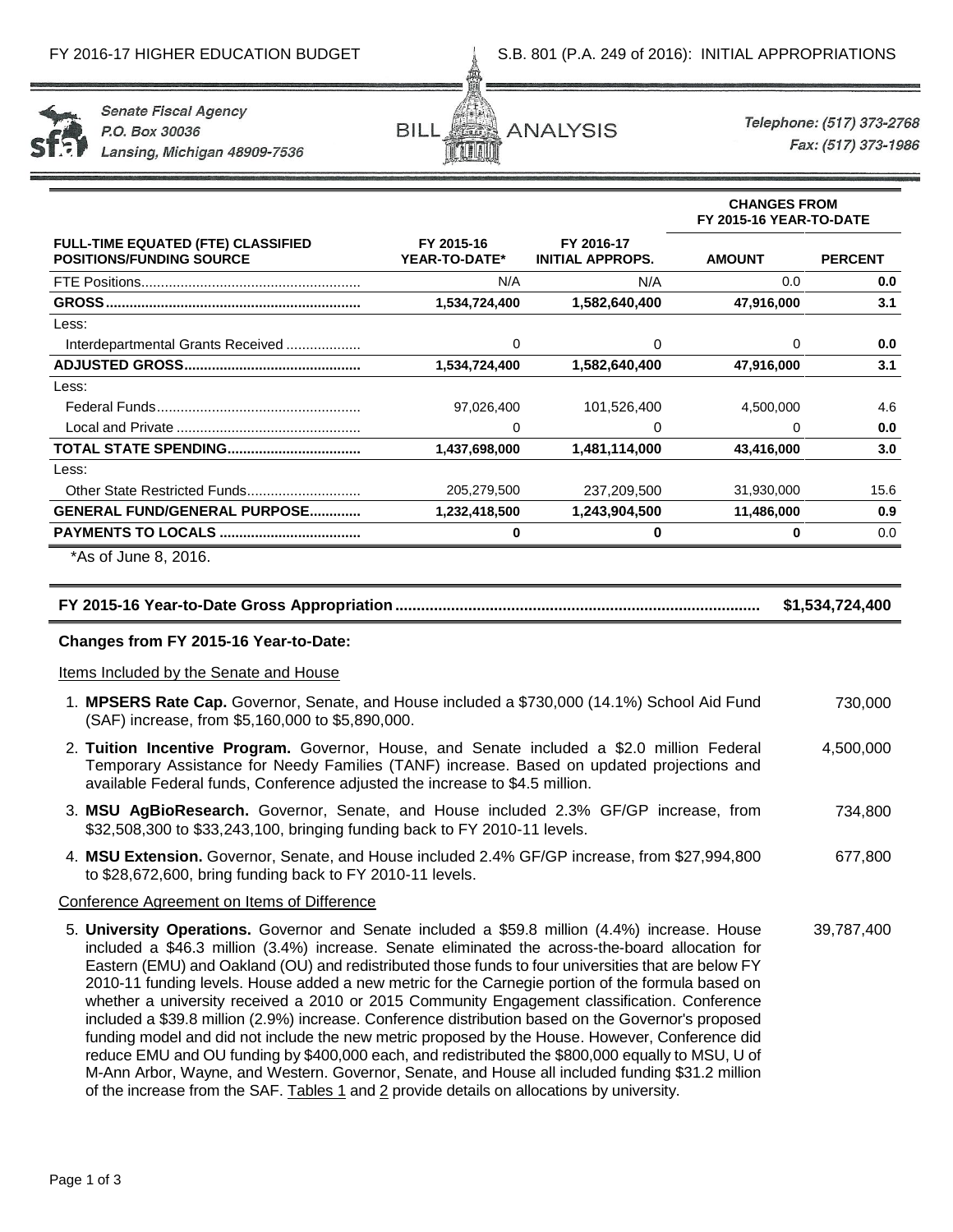

**Senate Fiscal Agency** P.O. Box 30036 Lansing, Michigan 48909-7536



Telephone: (517) 373-2768 Fax: (517) 373-1986

**CHANGES FROM**

|                                                                              |                             |                                       | FY 2015-16 YEAR-TO-DATE |                |  |  |  |
|------------------------------------------------------------------------------|-----------------------------|---------------------------------------|-------------------------|----------------|--|--|--|
| <b>FULL-TIME EQUATED (FTE) CLASSIFIED</b><br><b>POSITIONS/FUNDING SOURCE</b> | FY 2015-16<br>YEAR-TO-DATE* | FY 2016-17<br><b>INITIAL APPROPS.</b> | <b>AMOUNT</b>           | <b>PERCENT</b> |  |  |  |
|                                                                              | N/A                         | N/A                                   | 0.0                     | 0.0            |  |  |  |
| GROSS.                                                                       | 1,534,724,400               | 1,582,640,400                         | 47,916,000              | 3.1            |  |  |  |
| Less:                                                                        |                             |                                       |                         |                |  |  |  |
| Interdepartmental Grants Received                                            | 0                           | 0                                     | 0                       | 0.0            |  |  |  |
|                                                                              | 1,534,724,400               | 1,582,640,400                         | 47,916,000              | 3.1            |  |  |  |
| Less:                                                                        |                             |                                       |                         |                |  |  |  |
|                                                                              | 97,026,400                  | 101,526,400                           | 4,500,000               | 4.6            |  |  |  |
|                                                                              | 0                           | 0                                     | 0                       | 0.0            |  |  |  |
|                                                                              | 1,437,698,000               | 1,481,114,000                         | 43,416,000              | 3.0            |  |  |  |
| Less:                                                                        |                             |                                       |                         |                |  |  |  |
|                                                                              | 205,279,500                 | 237,209,500                           | 31,930,000              | 15.6           |  |  |  |
| <b>GENERAL FUND/GENERAL PURPOSE</b>                                          | 1,232,418,500               | 1,243,904,500                         | 11,486,000              | 0.9            |  |  |  |
|                                                                              | ŋ                           | 0                                     | 0                       | 0.0            |  |  |  |
| *As of June 8, 2016.                                                         |                             |                                       |                         |                |  |  |  |

# **FY 2015-16 Year-to-Date Gross Appropriation..................................................................................... \$1,534,724,400**

# **Changes from FY 2015-16 Year-to-Date:**

Items Included by the Senate and House

- 1. **MPSERS Rate Cap.** Governor, Senate, and House included a \$730,000 (14.1%) School Aid Fund (SAF) increase, from \$5,160,000 to \$5,890,000. 730,000
- 2. **Tuition Incentive Program.** Governor, House, and Senate included a \$2.0 million Federal Temporary Assistance for Needy Families (TANF) increase. Based on updated projections and available Federal funds, Conference adjusted the increase to \$4.5 million. 4,500,000
- 3. **MSU AgBioResearch.** Governor, Senate, and House included 2.3% GF/GP increase, from \$32,508,300 to \$33,243,100, bringing funding back to FY 2010-11 levels. 734,800
- 4. **MSU Extension.** Governor, Senate, and House included 2.4% GF/GP increase, from \$27,994,800 to \$28,672,600, bring funding back to FY 2010-11 levels. 677,800

# Conference Agreement on Items of Difference

5. **University Operations.** Governor and Senate included a \$59.8 million (4.4%) increase. House included a \$46.3 million (3.4%) increase. Senate eliminated the across-the-board allocation for Eastern (EMU) and Oakland (OU) and redistributed those funds to four universities that are below FY 2010-11 funding levels. House added a new metric for the Carnegie portion of the formula based on whether a university received a 2010 or 2015 Community Engagement classification. Conference included a \$39.8 million (2.9%) increase. Conference distribution based on the Governor's proposed funding model and did not include the new metric proposed by the House. However, Conference did reduce EMU and OU funding by \$400,000 each, and redistributed the \$800,000 equally to MSU, U of M-Ann Arbor, Wayne, and Western. Governor, Senate, and House all included funding \$31.2 million of the increase from the SAF. Tables 1 and 2 provide details on allocations by university. 39,787,400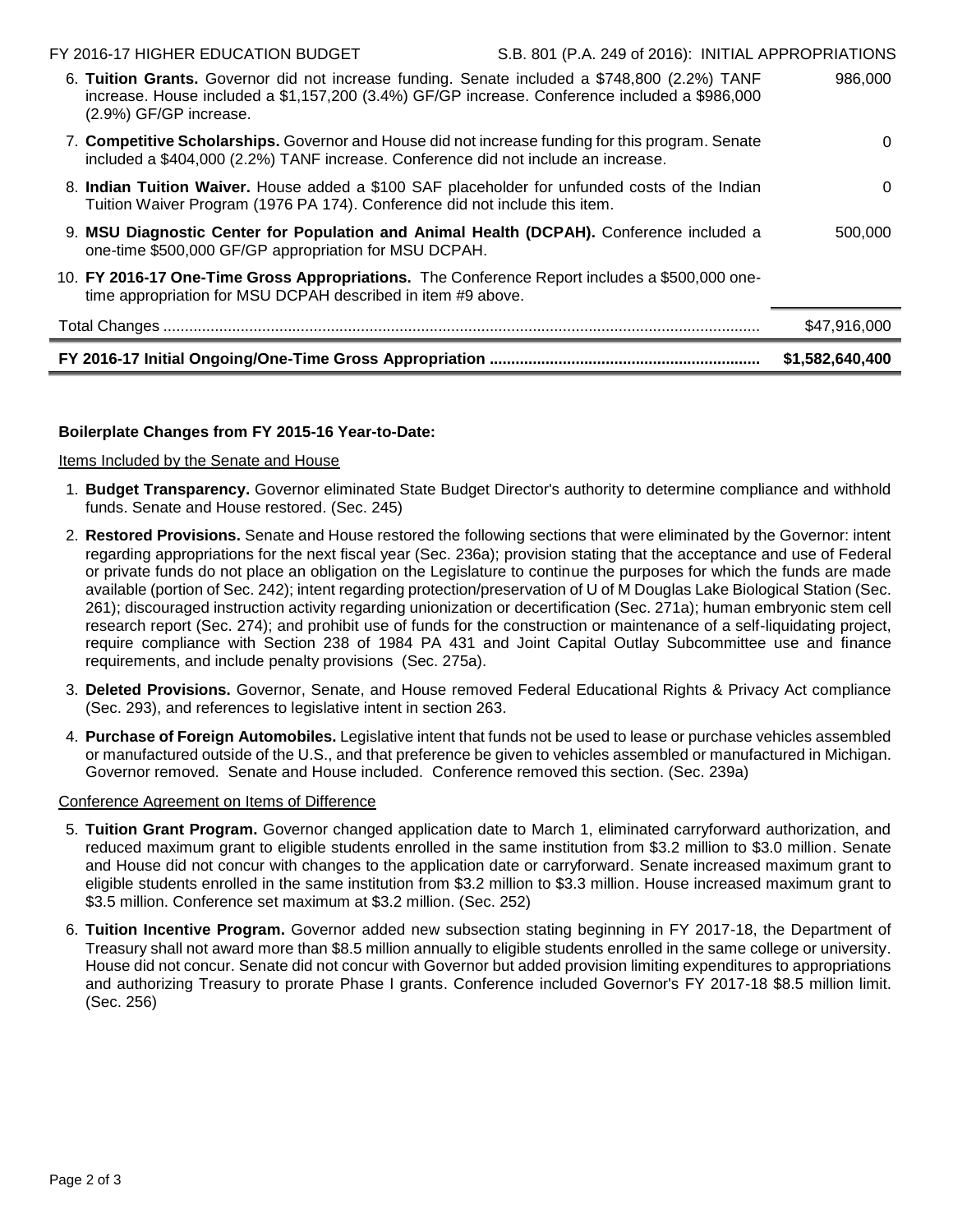|                                                                                                                                                                                                                          | \$1,582,640,400                                     |
|--------------------------------------------------------------------------------------------------------------------------------------------------------------------------------------------------------------------------|-----------------------------------------------------|
|                                                                                                                                                                                                                          | \$47,916,000                                        |
| 10. FY 2016-17 One-Time Gross Appropriations. The Conference Report includes a \$500,000 one-<br>time appropriation for MSU DCPAH described in item #9 above.                                                            |                                                     |
| 9. MSU Diagnostic Center for Population and Animal Health (DCPAH). Conference included a<br>one-time \$500,000 GF/GP appropriation for MSU DCPAH.                                                                        | 500,000                                             |
| 8. Indian Tuition Waiver. House added a \$100 SAF placeholder for unfunded costs of the Indian<br>Tuition Waiver Program (1976 PA 174). Conference did not include this item.                                            | 0                                                   |
| 7. Competitive Scholarships. Governor and House did not increase funding for this program. Senate<br>included a \$404,000 (2.2%) TANF increase. Conference did not include an increase.                                  | $\Omega$                                            |
| 6. Tuition Grants. Governor did not increase funding. Senate included a \$748,800 (2.2%) TANF<br>increase. House included a \$1,157,200 (3.4%) GF/GP increase. Conference included a \$986,000<br>(2.9%) GF/GP increase. | 986,000                                             |
| FY 2016-17 HIGHER EDUCATION BUDGET                                                                                                                                                                                       | S.B. 801 (P.A. 249 of 2016): INITIAL APPROPRIATIONS |

# **Boilerplate Changes from FY 2015-16 Year-to-Date:**

Items Included by the Senate and House

- 1. **Budget Transparency.** Governor eliminated State Budget Director's authority to determine compliance and withhold funds. Senate and House restored. (Sec. 245)
- 2. **Restored Provisions.** Senate and House restored the following sections that were eliminated by the Governor: intent regarding appropriations for the next fiscal year (Sec. 236a); provision stating that the acceptance and use of Federal or private funds do not place an obligation on the Legislature to continue the purposes for which the funds are made available (portion of Sec. 242); intent regarding protection/preservation of U of M Douglas Lake Biological Station (Sec. 261); discouraged instruction activity regarding unionization or decertification (Sec. 271a); human embryonic stem cell research report (Sec. 274); and prohibit use of funds for the construction or maintenance of a self-liquidating project, require compliance with Section 238 of 1984 PA 431 and Joint Capital Outlay Subcommittee use and finance requirements, and include penalty provisions (Sec. 275a).
- 3. **Deleted Provisions.** Governor, Senate, and House removed Federal Educational Rights & Privacy Act compliance (Sec. 293), and references to legislative intent in section 263.
- 4. **Purchase of Foreign Automobiles.** Legislative intent that funds not be used to lease or purchase vehicles assembled or manufactured outside of the U.S., and that preference be given to vehicles assembled or manufactured in Michigan. Governor removed. Senate and House included. Conference removed this section. (Sec. 239a)

# Conference Agreement on Items of Difference

- 5. **Tuition Grant Program.** Governor changed application date to March 1, eliminated carryforward authorization, and reduced maximum grant to eligible students enrolled in the same institution from \$3.2 million to \$3.0 million. Senate and House did not concur with changes to the application date or carryforward. Senate increased maximum grant to eligible students enrolled in the same institution from \$3.2 million to \$3.3 million. House increased maximum grant to \$3.5 million. Conference set maximum at \$3.2 million. (Sec. 252)
- 6. **Tuition Incentive Program.** Governor added new subsection stating beginning in FY 2017-18, the Department of Treasury shall not award more than \$8.5 million annually to eligible students enrolled in the same college or university. House did not concur. Senate did not concur with Governor but added provision limiting expenditures to appropriations and authorizing Treasury to prorate Phase I grants. Conference included Governor's FY 2017-18 \$8.5 million limit. (Sec. 256)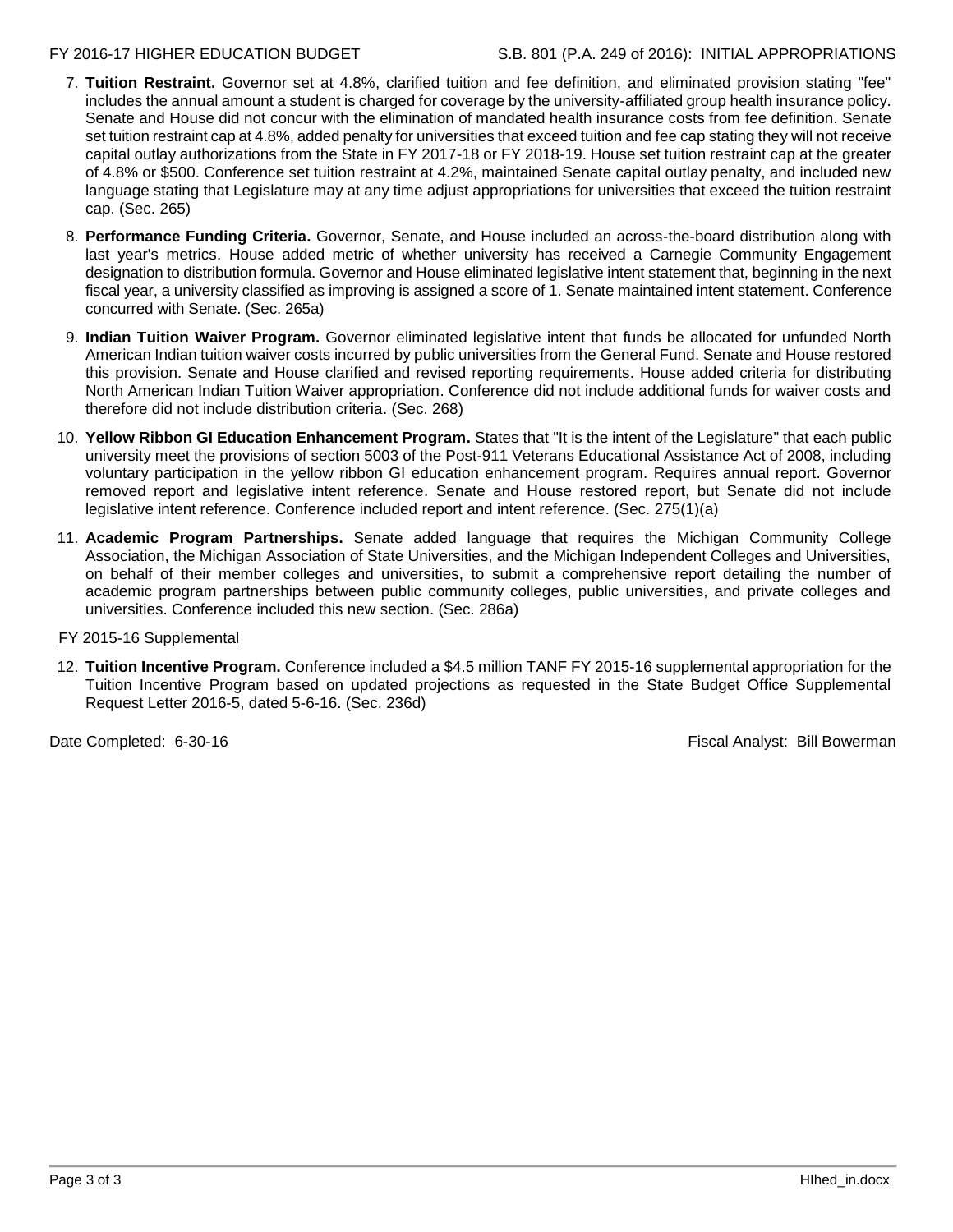- 7. **Tuition Restraint.** Governor set at 4.8%, clarified tuition and fee definition, and eliminated provision stating "fee" includes the annual amount a student is charged for coverage by the university-affiliated group health insurance policy. Senate and House did not concur with the elimination of mandated health insurance costs from fee definition. Senate set tuition restraint cap at 4.8%, added penalty for universities that exceed tuition and fee cap stating they will not receive capital outlay authorizations from the State in FY 2017-18 or FY 2018-19. House set tuition restraint cap at the greater of 4.8% or \$500. Conference set tuition restraint at 4.2%, maintained Senate capital outlay penalty, and included new language stating that Legislature may at any time adjust appropriations for universities that exceed the tuition restraint cap. (Sec. 265)
- 8. **Performance Funding Criteria.** Governor, Senate, and House included an across-the-board distribution along with last year's metrics. House added metric of whether university has received a Carnegie Community Engagement designation to distribution formula. Governor and House eliminated legislative intent statement that, beginning in the next fiscal year, a university classified as improving is assigned a score of 1. Senate maintained intent statement. Conference concurred with Senate. (Sec. 265a)
- 9. **Indian Tuition Waiver Program.** Governor eliminated legislative intent that funds be allocated for unfunded North American Indian tuition waiver costs incurred by public universities from the General Fund. Senate and House restored this provision. Senate and House clarified and revised reporting requirements. House added criteria for distributing North American Indian Tuition Waiver appropriation. Conference did not include additional funds for waiver costs and therefore did not include distribution criteria. (Sec. 268)
- 10. **Yellow Ribbon GI Education Enhancement Program.** States that "It is the intent of the Legislature" that each public university meet the provisions of section 5003 of the Post-911 Veterans Educational Assistance Act of 2008, including voluntary participation in the yellow ribbon GI education enhancement program. Requires annual report. Governor removed report and legislative intent reference. Senate and House restored report, but Senate did not include legislative intent reference. Conference included report and intent reference. (Sec. 275(1)(a)
- 11. **Academic Program Partnerships.** Senate added language that requires the Michigan Community College Association, the Michigan Association of State Universities, and the Michigan Independent Colleges and Universities, on behalf of their member colleges and universities, to submit a comprehensive report detailing the number of academic program partnerships between public community colleges, public universities, and private colleges and universities. Conference included this new section. (Sec. 286a)

# FY 2015-16 Supplemental

12. **Tuition Incentive Program.** Conference included a \$4.5 million TANF FY 2015-16 supplemental appropriation for the Tuition Incentive Program based on updated projections as requested in the State Budget Office Supplemental Request Letter 2016-5, dated 5-6-16. (Sec. 236d)

Date Completed: 6-30-16 **Fiscal Analyst: Bill Bowerman**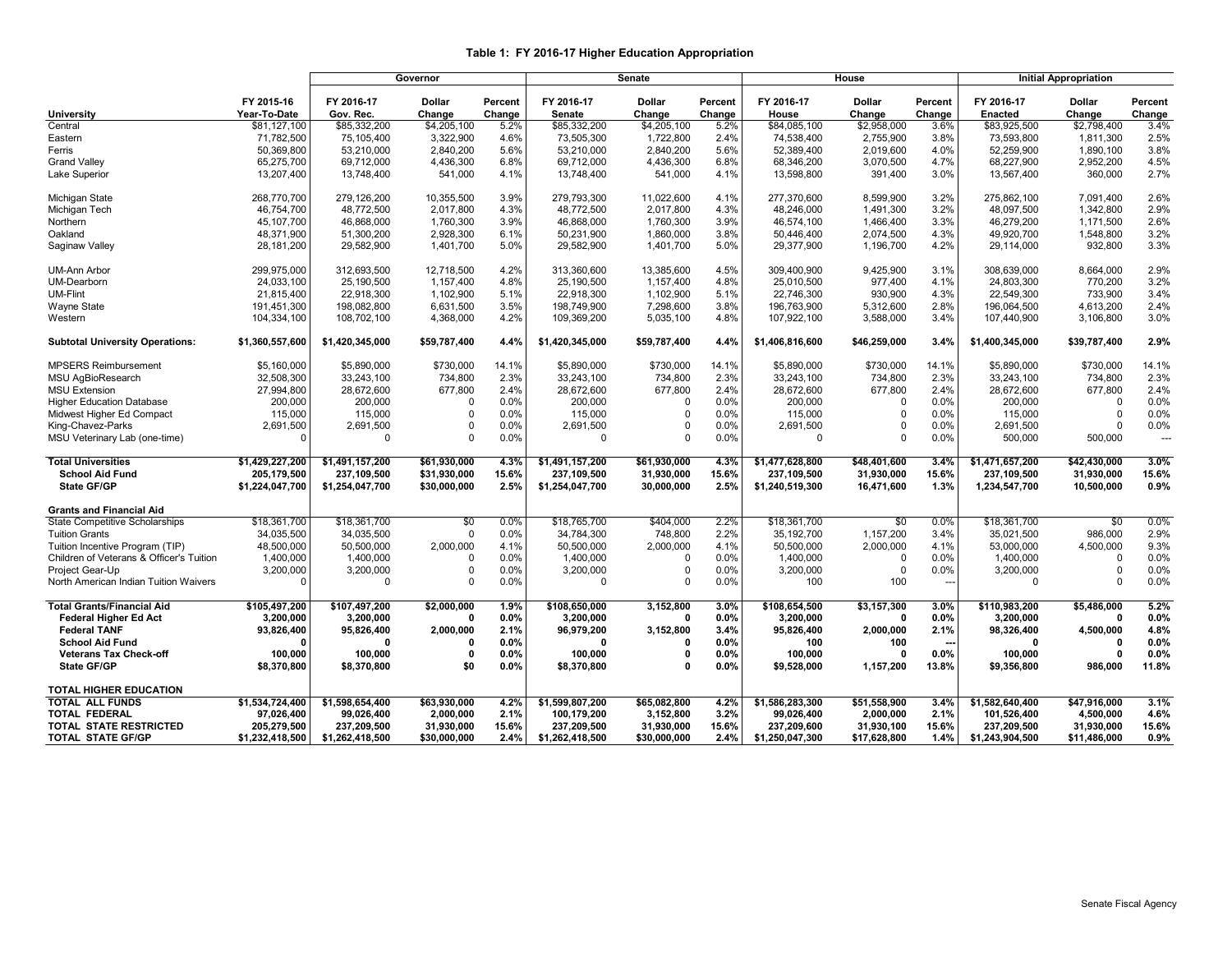### **Table 1: FY 2016-17 Higher Education Appropriation**

|                                          |                 | Governor        |                 |         |                 | Senate        |         |                 | House           |         | <b>Initial Appropriation</b> |                 |                          |  |
|------------------------------------------|-----------------|-----------------|-----------------|---------|-----------------|---------------|---------|-----------------|-----------------|---------|------------------------------|-----------------|--------------------------|--|
|                                          |                 |                 |                 |         |                 |               |         |                 |                 |         |                              |                 |                          |  |
|                                          | FY 2015-16      | FY 2016-17      | <b>Dollar</b>   | Percent | FY 2016-17      | <b>Dollar</b> | Percent | FY 2016-17      | <b>Dollar</b>   | Percent | FY 2016-17                   | <b>Dollar</b>   | Percent                  |  |
| <b>University</b>                        | Year-To-Date    | Gov. Rec.       | Change          | Change  | Senate          | Change        | Change  | House           | Change          | Change  | <b>Enacted</b>               | Change          | Change                   |  |
| Central                                  | \$81,127,100    | \$85,332,200    | \$4,205,100     | 5.2%    | \$85,332,200    | \$4,205,100   | 5.2%    | \$84,085,100    | \$2,958,000     | 3.6%    | \$83,925,500                 | \$2,798,400     | 3.4%                     |  |
| Eastern                                  | 71,782,500      | 75.105.400      | 3,322,900       | 4.6%    | 73.505.300      | 1,722,800     | 2.4%    | 74.538.400      | 2,755,900       | 3.8%    | 73.593.800                   | 1,811,300       | 2.5%                     |  |
| Ferris                                   | 50,369,800      | 53.210.000      | 2,840,200       | 5.6%    | 53.210.000      | 2,840,200     | 5.6%    | 52.389.400      | 2.019.600       | 4.0%    | 52.259.900                   | 1.890.100       | 3.8%                     |  |
| <b>Grand Valley</b>                      | 65,275,700      | 69,712,000      | 4,436,300       | 6.8%    | 69,712,000      | 4,436,300     | 6.8%    | 68,346,200      | 3,070,500       | 4.7%    | 68,227,900                   | 2,952,200       | 4.5%                     |  |
| Lake Superior                            | 13,207,400      | 13,748,400      | 541,000         | 4.1%    | 13,748,400      | 541,000       | 4.1%    | 13,598,800      | 391,400         | 3.0%    | 13,567,400                   | 360,000         | 2.7%                     |  |
| Michigan State                           | 268,770,700     | 279,126,200     | 10,355,500      | 3.9%    | 279,793,300     | 11,022,600    | 4.1%    | 277,370,600     | 8,599,900       | 3.2%    | 275,862,100                  | 7,091,400       | 2.6%                     |  |
| Michigan Tech                            | 46,754,700      | 48,772,500      | 2,017,800       | 4.3%    | 48,772,500      | 2,017,800     | 4.3%    | 48,246,000      | 1,491,300       | 3.2%    | 48,097,500                   | 1,342,800       | 2.9%                     |  |
| Northern                                 | 45.107.700      | 46.868.000      | 1,760,300       | 3.9%    | 46.868.000      | 1,760,300     | 3.9%    | 46.574.100      | 1,466,400       | 3.3%    | 46.279.200                   | 1,171,500       | 2.6%                     |  |
| Oakland                                  | 48,371,900      | 51,300,200      | 2,928,300       | 6.1%    | 50,231,900      | 1,860,000     | 3.8%    | 50,446,400      | 2,074,500       | 4.3%    | 49,920,700                   | 1,548,800       | 3.2%                     |  |
| Saginaw Valley                           | 28,181,200      | 29,582,900      | 1,401,700       | 5.0%    | 29,582,900      | 1,401,700     | 5.0%    | 29,377,900      | 1,196,700       | 4.2%    | 29,114,000                   | 932,800         | 3.3%                     |  |
| <b>UM-Ann Arbor</b>                      | 299,975,000     | 312,693,500     | 12,718,500      | 4.2%    | 313,360,600     | 13,385,600    | 4.5%    | 309,400,900     | 9,425,900       | 3.1%    | 308,639,000                  | 8,664,000       | 2.9%                     |  |
| UM-Dearborn                              | 24.033.100      | 25.190.500      | 1.157.400       | 4.8%    | 25.190.500      | 1,157,400     | 4.8%    | 25.010.500      | 977.400         | 4.1%    | 24.803.300                   | 770,200         | 3.2%                     |  |
| <b>UM-Flint</b>                          | 21,815,400      | 22,918,300      | 1,102,900       | 5.1%    | 22,918,300      | 1,102,900     | 5.1%    | 22,746,300      | 930,900         | 4.3%    | 22,549,300                   | 733,900         | 3.4%                     |  |
| Wayne State                              | 191,451,300     | 198,082,800     | 6,631,500       | 3.5%    | 198,749,900     | 7,298,600     | 3.8%    | 196,763,900     | 5,312,600       | 2.8%    | 196,064,500                  | 4,613,200       | 2.4%                     |  |
| Western                                  | 104,334,100     | 108,702,100     | 4,368,000       | 4.2%    | 109,369,200     | 5,035,100     | 4.8%    | 107,922,100     | 3,588,000       | 3.4%    | 107,440,900                  | 3,106,800       | 3.0%                     |  |
| <b>Subtotal University Operations:</b>   | \$1,360,557,600 | \$1,420,345,000 | \$59,787,400    | 4.4%    | \$1,420,345,000 | \$59,787,400  | 4.4%    | \$1,406,816,600 | \$46,259,000    | 3.4%    | \$1,400,345,000              | \$39,787,400    | 2.9%                     |  |
| MPSERS Reimbursement                     | \$5.160,000     | \$5.890,000     | \$730,000       | 14.1%   | \$5.890.000     | \$730,000     | 14.1%   | \$5.890,000     | \$730,000       | 14.1%   | \$5,890,000                  | \$730,000       | 14.1%                    |  |
| MSU AgBioResearch                        | 32,508,300      | 33,243,100      | 734,800         | 2.3%    | 33,243,100      | 734,800       | 2.3%    | 33,243,100      | 734,800         | 2.3%    | 33,243,100                   | 734,800         | 2.3%                     |  |
| <b>MSU Extension</b>                     | 27,994,800      | 28,672,600      | 677,800         | 2.4%    | 28,672,600      | 677,800       | 2.4%    | 28,672,600      | 677,800         | 2.4%    | 28,672,600                   | 677,800         | 2.4%                     |  |
| <b>Higher Education Database</b>         | 200.000         | 200,000         | $\Omega$        | 0.0%    | 200.000         | 0             | 0.0%    | 200,000         | $\Omega$        | 0.0%    | 200.000                      | $\Omega$        | 0.0%                     |  |
| Midwest Higher Ed Compact                | 115,000         | 115,000         | $\Omega$        | 0.0%    | 115,000         | $\Omega$      | 0.0%    | 115,000         | $\Omega$        | 0.0%    | 115,000                      | $\Omega$        | 0.0%                     |  |
| King-Chavez-Parks                        | 2,691,500       | 2,691,500       | $\Omega$        | 0.0%    | 2,691,500       | $\mathbf 0$   | 0.0%    | 2,691,500       | $\mathbf 0$     | 0.0%    | 2,691,500                    | $\Omega$        | 0.0%                     |  |
|                                          | $\Omega$        | $\Omega$        | $\Omega$        | 0.0%    | $\Omega$        | $\mathbf 0$   | 0.0%    | $\mathbf 0$     | $\Omega$        | 0.0%    | 500.000                      | 500,000         | $\overline{\phantom{a}}$ |  |
| MSU Veterinary Lab (one-time)            |                 |                 |                 |         |                 |               |         |                 |                 |         |                              |                 |                          |  |
| <b>Total Universities</b>                | \$1,429,227,200 | \$1,491,157,200 | \$61,930,000    | 4.3%    | \$1,491,157,200 | \$61,930,000  | 4.3%    | \$1,477,628,800 | \$48,401,600    | 3.4%    | \$1,471,657,200              | \$42,430,000    | 3.0%                     |  |
| <b>School Aid Fund</b>                   | 205.179.500     | 237,109,500     | \$31.930.000    | 15.6%   | 237,109,500     | 31,930,000    | 15.6%   | 237,109,500     | 31,930,000      | 15.6%   | 237.109.500                  | 31,930,000      | 15.6%                    |  |
| <b>State GF/GP</b>                       | \$1,224,047,700 | \$1,254,047,700 | \$30,000,000    | 2.5%    | \$1,254,047,700 | 30,000,000    | 2.5%    | \$1,240,519,300 | 16,471,600      | 1.3%    | 1,234,547,700                | 10,500,000      | 0.9%                     |  |
| <b>Grants and Financial Aid</b>          |                 |                 |                 |         |                 |               |         |                 |                 |         |                              |                 |                          |  |
| State Competitive Scholarships           | \$18,361,700    | \$18,361,700    | $\overline{50}$ | 0.0%    | \$18,765,700    | \$404,000     | 2.2%    | \$18,361,700    | $\overline{50}$ | 0.0%    | \$18,361,700                 | $\overline{50}$ | 0.0%                     |  |
| <b>Tuition Grants</b>                    | 34,035,500      | 34,035,500      | $\Omega$        | 0.0%    | 34,784,300      | 748,800       | 2.2%    | 35,192,700      | 1,157,200       | 3.4%    | 35,021,500                   | 986,000         | 2.9%                     |  |
| Tuition Incentive Program (TIP)          | 48.500.000      | 50,500,000      | 2.000.000       | 4.1%    | 50.500.000      | 2.000.000     | 4.1%    | 50.500.000      | 2.000.000       | 4.1%    | 53.000.000                   | 4,500,000       | 9.3%                     |  |
| Children of Veterans & Officer's Tuition | 1,400,000       | 1,400,000       | $\Omega$        | 0.0%    | 1,400,000       | $\mathbf 0$   | 0.0%    | 1,400,000       | $\mathbf 0$     | 0.0%    | 1,400,000                    | $\Omega$        | 0.0%                     |  |
| Project Gear-Up                          | 3,200,000       | 3,200,000       | $\Omega$        | 0.0%    | 3,200,000       | 0             | 0.0%    | 3,200,000       | $\mathbf 0$     | 0.0%    | 3,200,000                    | $\Omega$        | 0.0%                     |  |
| North American Indian Tuition Waivers    | $\Omega$        | $\Omega$        | $\Omega$        | 0.0%    | $\Omega$        | $\mathbf 0$   | 0.0%    | 100             | 100             | $\sim$  | $\Omega$                     | $\Omega$        | 0.0%                     |  |
| <b>Total Grants/Financial Aid</b>        | \$105,497,200   | \$107,497,200   | \$2,000,000     | 1.9%    | \$108,650,000   | 3,152,800     | 3.0%    | \$108,654,500   | \$3,157,300     | 3.0%    | \$110,983,200                | \$5,486,000     | 5.2%                     |  |
| <b>Federal Higher Ed Act</b>             | 3.200.000       | 3,200,000       | $\mathbf{0}$    | 0.0%    | 3.200.000       | 0             | 0.0%    | 3.200.000       | 0               | 0.0%    | 3.200.000                    | $\mathbf{0}$    | 0.0%                     |  |
| <b>Federal TANF</b>                      | 93,826,400      | 95,826,400      | 2,000,000       | 2.1%    | 96,979,200      | 3,152,800     | 3.4%    | 95,826,400      | 2,000,000       | 2.1%    | 98,326,400                   | 4,500,000       | 4.8%                     |  |
| <b>School Aid Fund</b>                   | n               | $\Omega$        | $\Omega$        | 0.0%    | $\Omega$        | 0             | 0.0%    | 100             | 100             |         | $\Omega$                     | $\Omega$        | 0.0%                     |  |
| <b>Veterans Tax Check-off</b>            | 100,000         | 100,000         | $\Omega$        | 0.0%    | 100,000         | $\mathbf 0$   | 0.0%    | 100,000         | $\Omega$        | 0.0%    | 100,000                      | $\mathbf{a}$    | 0.0%                     |  |
| <b>State GF/GP</b>                       | \$8,370,800     | \$8,370,800     | \$0             | 0.0%    | \$8,370,800     | $\mathbf{0}$  | 0.0%    | \$9,528,000     | 1,157,200       | 13.8%   | \$9,356,800                  | 986,000         | 11.8%                    |  |
| <b>TOTAL HIGHER EDUCATION</b>            |                 |                 |                 |         |                 |               |         |                 |                 |         |                              |                 |                          |  |
| <b>TOTAL ALL FUNDS</b>                   | \$1,534,724,400 | \$1,598,654,400 | \$63,930,000    | 4.2%    | \$1,599,807,200 | \$65,082,800  | 4.2%    | \$1,586,283,300 | \$51,558,900    | 3.4%    | \$1,582,640,400              | \$47,916,000    | 3.1%                     |  |
| <b>TOTAL FEDERAL</b>                     | 97,026,400      | 99,026,400      | 2,000,000       | 2.1%    | 100,179,200     | 3,152,800     | 3.2%    | 99,026,400      | 2,000,000       | 2.1%    | 101,526,400                  | 4,500,000       | 4.6%                     |  |
| TOTAL STATE RESTRICTED                   | 205,279,500     | 237,209,500     | 31,930,000      | 15.6%   | 237,209,500     | 31,930,000    | 15.6%   | 237,209,600     | 31,930,100      | 15.6%   | 237,209,500                  | 31,930,000      | 15.6%                    |  |
| <b>TOTAL STATE GF/GP</b>                 | \$1,232,418,500 | \$1,262,418,500 | \$30,000,000    | 2.4%    | \$1,262,418,500 | \$30,000,000  | 2.4%    | \$1,250,047,300 | \$17,628,800    | 1.4%    | \$1,243,904,500              | \$11,486,000    | 0.9%                     |  |